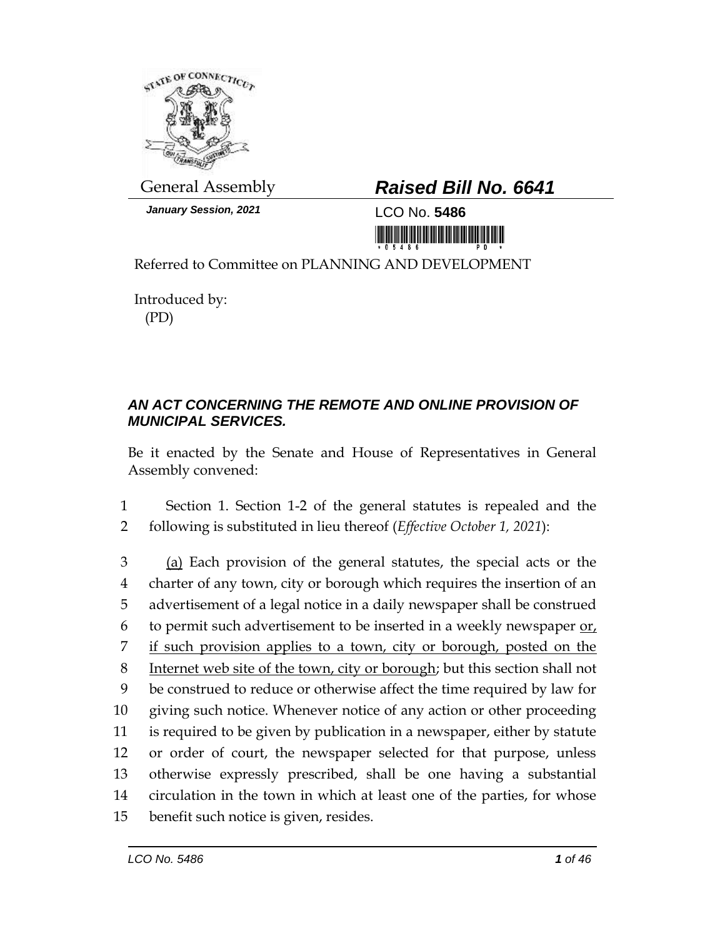

*January Session, 2021* LCO No. **5486**

## General Assembly *Raised Bill No. 6641*

<u> III Million Million Million Million Million Million Million Million Million Million Million Million Million Mi</u>

Referred to Committee on PLANNING AND DEVELOPMENT

Introduced by: (PD)

## *AN ACT CONCERNING THE REMOTE AND ONLINE PROVISION OF MUNICIPAL SERVICES.*

Be it enacted by the Senate and House of Representatives in General Assembly convened:

1 Section 1. Section 1-2 of the general statutes is repealed and the 2 following is substituted in lieu thereof (*Effective October 1, 2021*):

3 (a) Each provision of the general statutes, the special acts or the charter of any town, city or borough which requires the insertion of an advertisement of a legal notice in a daily newspaper shall be construed to permit such advertisement to be inserted in a weekly newspaper or, if such provision applies to a town, city or borough, posted on the Internet web site of the town, city or borough; but this section shall not be construed to reduce or otherwise affect the time required by law for giving such notice. Whenever notice of any action or other proceeding is required to be given by publication in a newspaper, either by statute or order of court, the newspaper selected for that purpose, unless otherwise expressly prescribed, shall be one having a substantial circulation in the town in which at least one of the parties, for whose benefit such notice is given, resides.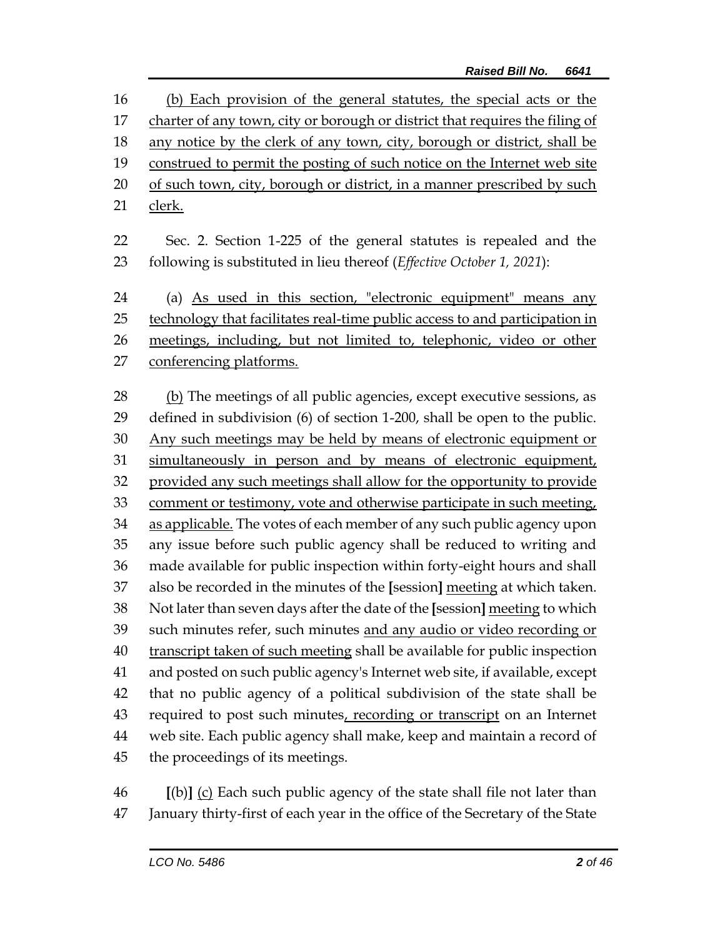(b) Each provision of the general statutes, the special acts or the 17 charter of any town, city or borough or district that requires the filing of 18 any notice by the clerk of any town, city, borough or district, shall be construed to permit the posting of such notice on the Internet web site of such town, city, borough or district, in a manner prescribed by such clerk.

 Sec. 2. Section 1-225 of the general statutes is repealed and the following is substituted in lieu thereof (*Effective October 1, 2021*):

 (a) As used in this section, "electronic equipment" means any technology that facilitates real-time public access to and participation in meetings, including, but not limited to, telephonic, video or other conferencing platforms.

 (b) The meetings of all public agencies, except executive sessions, as defined in subdivision (6) of section 1-200, shall be open to the public. Any such meetings may be held by means of electronic equipment or simultaneously in person and by means of electronic equipment, provided any such meetings shall allow for the opportunity to provide 33 comment or testimony, vote and otherwise participate in such meeting, as applicable. The votes of each member of any such public agency upon any issue before such public agency shall be reduced to writing and made available for public inspection within forty-eight hours and shall also be recorded in the minutes of the **[**session**]** meeting at which taken. Not later than seven days after the date of the **[**session**]** meeting to which such minutes refer, such minutes and any audio or video recording or transcript taken of such meeting shall be available for public inspection and posted on such public agency's Internet web site, if available, except that no public agency of a political subdivision of the state shall be 43 required to post such minutes, recording or transcript on an Internet web site. Each public agency shall make, keep and maintain a record of the proceedings of its meetings.

 **[**(b)**]** (c) Each such public agency of the state shall file not later than January thirty-first of each year in the office of the Secretary of the State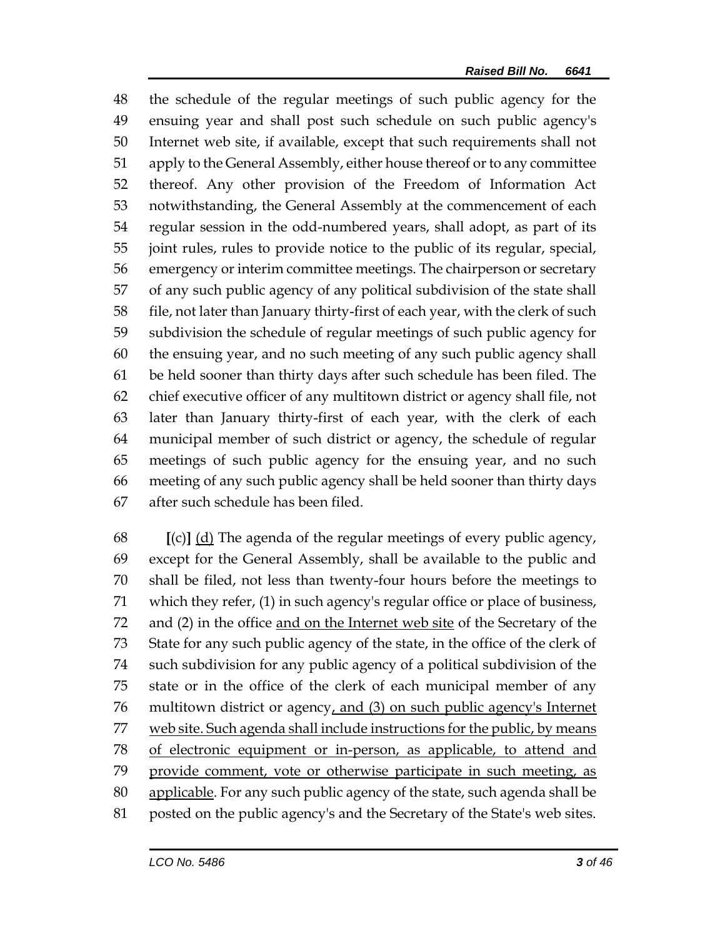the schedule of the regular meetings of such public agency for the ensuing year and shall post such schedule on such public agency's Internet web site, if available, except that such requirements shall not apply to the General Assembly, either house thereof or to any committee thereof. Any other provision of the Freedom of Information Act notwithstanding, the General Assembly at the commencement of each regular session in the odd-numbered years, shall adopt, as part of its joint rules, rules to provide notice to the public of its regular, special, emergency or interim committee meetings. The chairperson or secretary of any such public agency of any political subdivision of the state shall file, not later than January thirty-first of each year, with the clerk of such subdivision the schedule of regular meetings of such public agency for the ensuing year, and no such meeting of any such public agency shall be held sooner than thirty days after such schedule has been filed. The chief executive officer of any multitown district or agency shall file, not later than January thirty-first of each year, with the clerk of each municipal member of such district or agency, the schedule of regular meetings of such public agency for the ensuing year, and no such meeting of any such public agency shall be held sooner than thirty days after such schedule has been filed.

 **[**(c)**]** (d) The agenda of the regular meetings of every public agency, except for the General Assembly, shall be available to the public and shall be filed, not less than twenty-four hours before the meetings to which they refer, (1) in such agency's regular office or place of business, 72 and (2) in the office and on the Internet web site of the Secretary of the State for any such public agency of the state, in the office of the clerk of such subdivision for any public agency of a political subdivision of the state or in the office of the clerk of each municipal member of any 76 multitown district or agency, and (3) on such public agency's Internet 77 web site. Such agenda shall include instructions for the public, by means of electronic equipment or in-person, as applicable, to attend and provide comment, vote or otherwise participate in such meeting, as applicable. For any such public agency of the state, such agenda shall be posted on the public agency's and the Secretary of the State's web sites.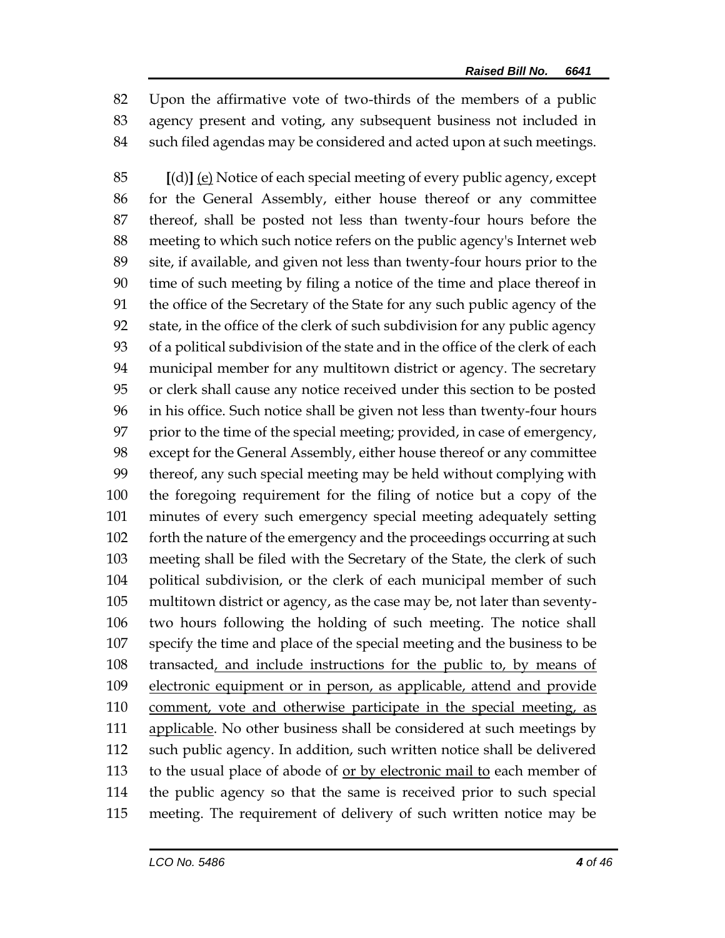Upon the affirmative vote of two-thirds of the members of a public agency present and voting, any subsequent business not included in such filed agendas may be considered and acted upon at such meetings.

 **[**(d)**]** (e) Notice of each special meeting of every public agency, except for the General Assembly, either house thereof or any committee thereof, shall be posted not less than twenty-four hours before the meeting to which such notice refers on the public agency's Internet web site, if available, and given not less than twenty-four hours prior to the time of such meeting by filing a notice of the time and place thereof in the office of the Secretary of the State for any such public agency of the state, in the office of the clerk of such subdivision for any public agency of a political subdivision of the state and in the office of the clerk of each municipal member for any multitown district or agency. The secretary or clerk shall cause any notice received under this section to be posted in his office. Such notice shall be given not less than twenty-four hours prior to the time of the special meeting; provided, in case of emergency, except for the General Assembly, either house thereof or any committee thereof, any such special meeting may be held without complying with the foregoing requirement for the filing of notice but a copy of the minutes of every such emergency special meeting adequately setting 102 forth the nature of the emergency and the proceedings occurring at such meeting shall be filed with the Secretary of the State, the clerk of such political subdivision, or the clerk of each municipal member of such multitown district or agency, as the case may be, not later than seventy- two hours following the holding of such meeting. The notice shall specify the time and place of the special meeting and the business to be transacted, and include instructions for the public to, by means of electronic equipment or in person, as applicable, attend and provide comment, vote and otherwise participate in the special meeting, as 111 applicable. No other business shall be considered at such meetings by such public agency. In addition, such written notice shall be delivered to the usual place of abode of or by electronic mail to each member of the public agency so that the same is received prior to such special meeting. The requirement of delivery of such written notice may be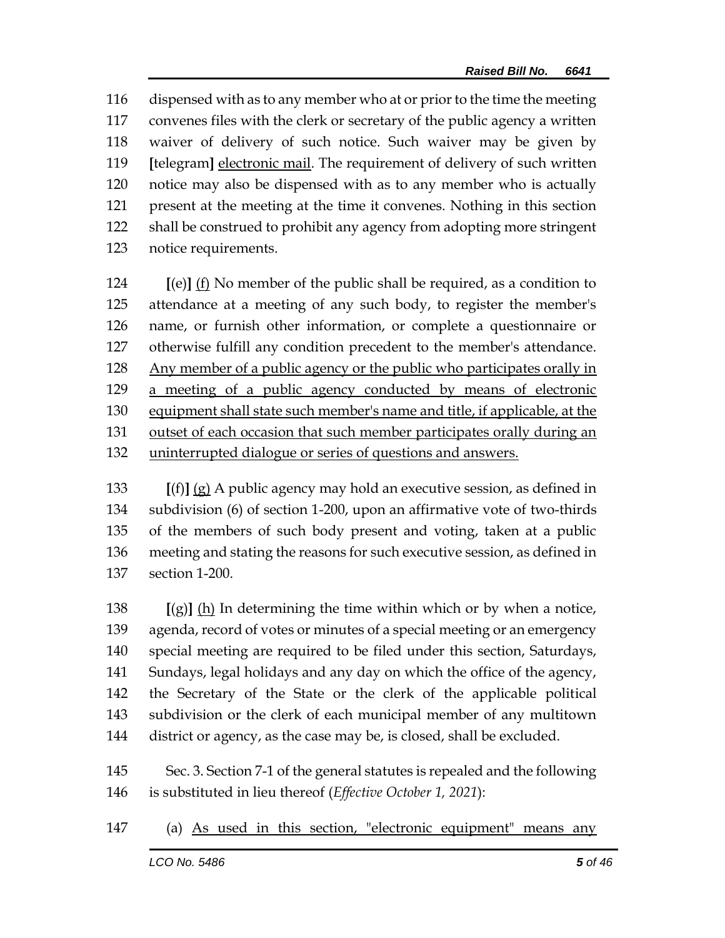dispensed with as to any member who at or prior to the time the meeting convenes files with the clerk or secretary of the public agency a written waiver of delivery of such notice. Such waiver may be given by **[**telegram**]** electronic mail. The requirement of delivery of such written notice may also be dispensed with as to any member who is actually present at the meeting at the time it convenes. Nothing in this section shall be construed to prohibit any agency from adopting more stringent notice requirements.

 **[**(e)**]** (f) No member of the public shall be required, as a condition to attendance at a meeting of any such body, to register the member's name, or furnish other information, or complete a questionnaire or otherwise fulfill any condition precedent to the member's attendance. Any member of a public agency or the public who participates orally in a meeting of a public agency conducted by means of electronic equipment shall state such member's name and title, if applicable, at the outset of each occasion that such member participates orally during an uninterrupted dialogue or series of questions and answers.

 **[**(f)**]** (g) A public agency may hold an executive session, as defined in subdivision (6) of section 1-200, upon an affirmative vote of two-thirds of the members of such body present and voting, taken at a public meeting and stating the reasons for such executive session, as defined in section 1-200.

 **[**(g)**]** (h) In determining the time within which or by when a notice, agenda, record of votes or minutes of a special meeting or an emergency special meeting are required to be filed under this section, Saturdays, Sundays, legal holidays and any day on which the office of the agency, the Secretary of the State or the clerk of the applicable political subdivision or the clerk of each municipal member of any multitown 144 district or agency, as the case may be, is closed, shall be excluded.

 Sec. 3. Section 7-1 of the general statutes is repealed and the following is substituted in lieu thereof (*Effective October 1, 2021*):

(a) As used in this section, "electronic equipment" means any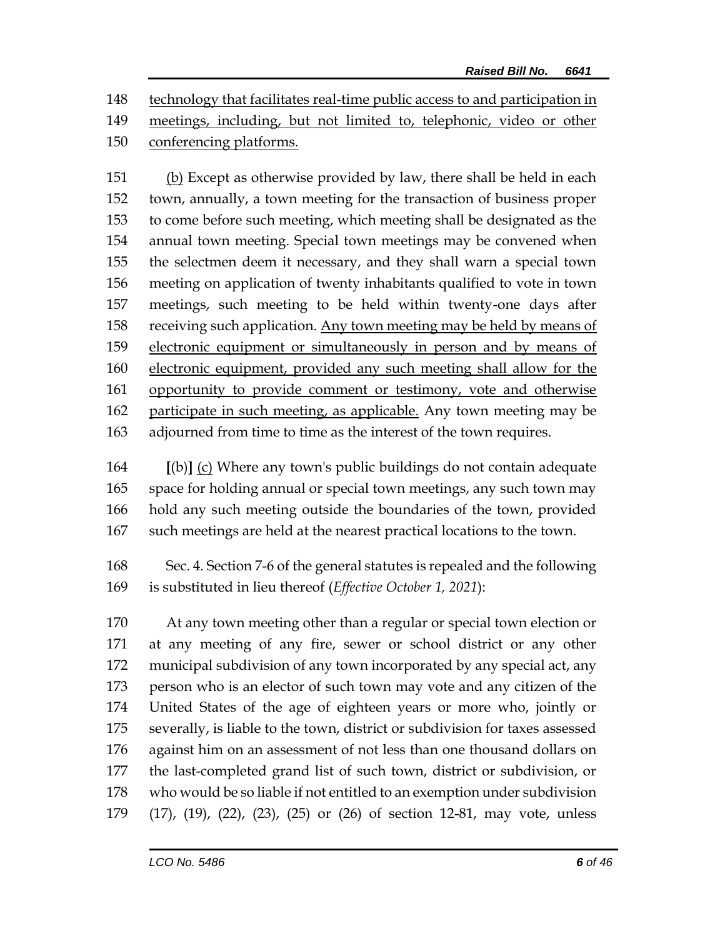technology that facilitates real-time public access to and participation in meetings, including, but not limited to, telephonic, video or other

conferencing platforms.

 (b) Except as otherwise provided by law, there shall be held in each town, annually, a town meeting for the transaction of business proper to come before such meeting, which meeting shall be designated as the annual town meeting. Special town meetings may be convened when the selectmen deem it necessary, and they shall warn a special town meeting on application of twenty inhabitants qualified to vote in town meetings, such meeting to be held within twenty-one days after receiving such application. Any town meeting may be held by means of electronic equipment or simultaneously in person and by means of electronic equipment, provided any such meeting shall allow for the opportunity to provide comment or testimony, vote and otherwise 162 participate in such meeting, as applicable. Any town meeting may be adjourned from time to time as the interest of the town requires.

 **[**(b)**]** (c) Where any town's public buildings do not contain adequate space for holding annual or special town meetings, any such town may hold any such meeting outside the boundaries of the town, provided such meetings are held at the nearest practical locations to the town.

 Sec. 4. Section 7-6 of the general statutes is repealed and the following is substituted in lieu thereof (*Effective October 1, 2021*):

 At any town meeting other than a regular or special town election or at any meeting of any fire, sewer or school district or any other municipal subdivision of any town incorporated by any special act, any person who is an elector of such town may vote and any citizen of the United States of the age of eighteen years or more who, jointly or severally, is liable to the town, district or subdivision for taxes assessed against him on an assessment of not less than one thousand dollars on the last-completed grand list of such town, district or subdivision, or who would be so liable if not entitled to an exemption under subdivision (17), (19), (22), (23), (25) or (26) of section 12-81, may vote, unless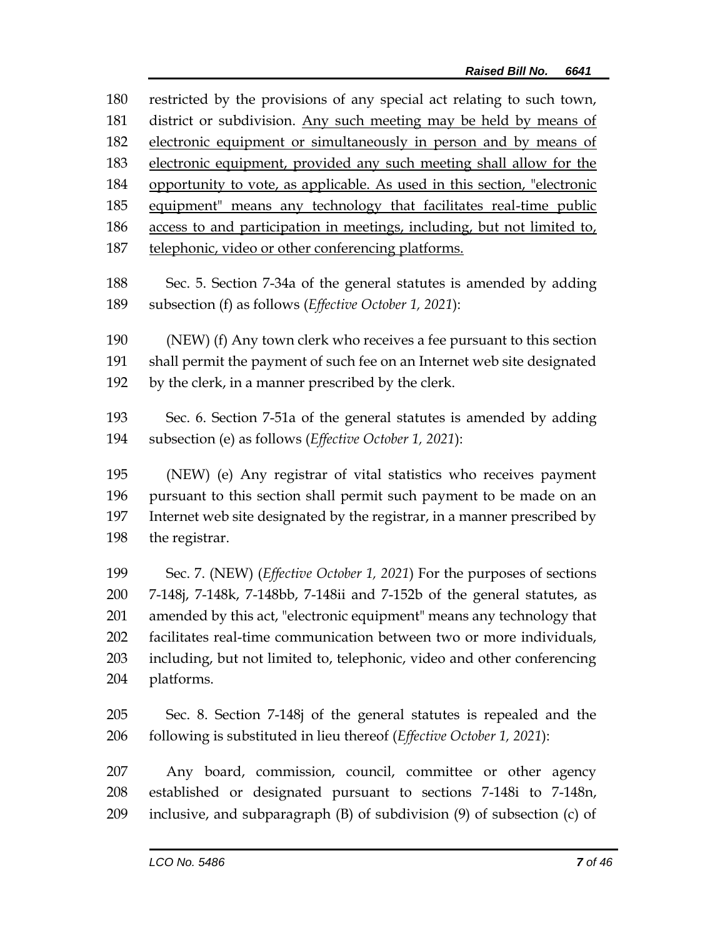| 180 | restricted by the provisions of any special act relating to such town,          |
|-----|---------------------------------------------------------------------------------|
| 181 | district or subdivision. Any such meeting may be held by means of               |
| 182 | electronic equipment or simultaneously in person and by means of                |
| 183 | electronic equipment, provided any such meeting shall allow for the             |
| 184 | opportunity to vote, as applicable. As used in this section, "electronic        |
| 185 | equipment" means any technology that facilitates real-time public               |
| 186 | access to and participation in meetings, including, but not limited to,         |
| 187 | telephonic, video or other conferencing platforms.                              |
|     |                                                                                 |
| 188 | Sec. 5. Section 7-34a of the general statutes is amended by adding              |
| 189 | subsection (f) as follows ( <i>Effective October 1</i> , 2021):                 |
| 190 | (NEW) (f) Any town clerk who receives a fee pursuant to this section            |
| 191 | shall permit the payment of such fee on an Internet web site designated         |
| 192 | by the clerk, in a manner prescribed by the clerk.                              |
|     |                                                                                 |
| 193 | Sec. 6. Section 7-51a of the general statutes is amended by adding              |
| 194 | subsection (e) as follows ( <i>Effective October 1</i> , 2021):                 |
| 195 | (NEW) (e) Any registrar of vital statistics who receives payment                |
|     |                                                                                 |
| 196 | pursuant to this section shall permit such payment to be made on an             |
| 197 | Internet web site designated by the registrar, in a manner prescribed by        |
| 198 | the registrar.                                                                  |
| 199 | Sec. 7. (NEW) ( <i>Effective October 1, 2021</i> ) For the purposes of sections |
| 200 | 7-148j, 7-148k, 7-148bb, 7-148ii and 7-152b of the general statutes, as         |
| 201 | amended by this act, "electronic equipment" means any technology that           |
|     |                                                                                 |

 facilitates real-time communication between two or more individuals, including, but not limited to, telephonic, video and other conferencing platforms.

 Sec. 8. Section 7-148j of the general statutes is repealed and the following is substituted in lieu thereof (*Effective October 1, 2021*):

 Any board, commission, council, committee or other agency established or designated pursuant to sections 7-148i to 7-148n, inclusive, and subparagraph (B) of subdivision (9) of subsection (c) of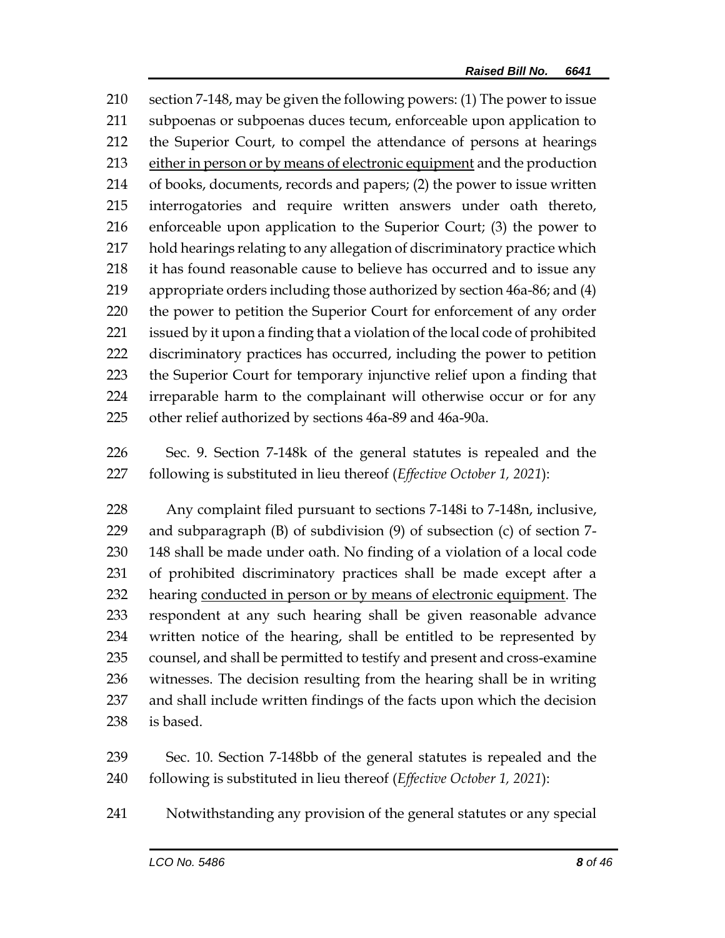section 7-148, may be given the following powers: (1) The power to issue subpoenas or subpoenas duces tecum, enforceable upon application to the Superior Court, to compel the attendance of persons at hearings either in person or by means of electronic equipment and the production of books, documents, records and papers; (2) the power to issue written interrogatories and require written answers under oath thereto, enforceable upon application to the Superior Court; (3) the power to hold hearings relating to any allegation of discriminatory practice which it has found reasonable cause to believe has occurred and to issue any appropriate orders including those authorized by section 46a-86; and (4) the power to petition the Superior Court for enforcement of any order issued by it upon a finding that a violation of the local code of prohibited discriminatory practices has occurred, including the power to petition the Superior Court for temporary injunctive relief upon a finding that irreparable harm to the complainant will otherwise occur or for any other relief authorized by sections 46a-89 and 46a-90a.

 Sec. 9. Section 7-148k of the general statutes is repealed and the following is substituted in lieu thereof (*Effective October 1, 2021*):

 Any complaint filed pursuant to sections 7-148i to 7-148n, inclusive, and subparagraph (B) of subdivision (9) of subsection (c) of section 7- 148 shall be made under oath. No finding of a violation of a local code of prohibited discriminatory practices shall be made except after a hearing conducted in person or by means of electronic equipment. The respondent at any such hearing shall be given reasonable advance written notice of the hearing, shall be entitled to be represented by counsel, and shall be permitted to testify and present and cross-examine witnesses. The decision resulting from the hearing shall be in writing and shall include written findings of the facts upon which the decision is based.

 Sec. 10. Section 7-148bb of the general statutes is repealed and the following is substituted in lieu thereof (*Effective October 1, 2021*):

Notwithstanding any provision of the general statutes or any special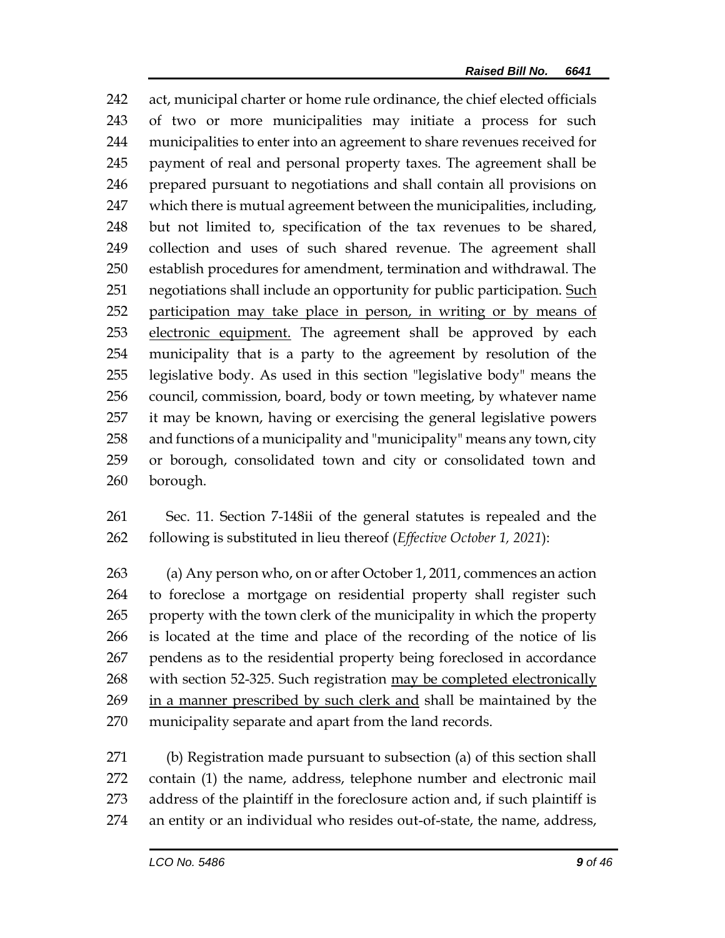act, municipal charter or home rule ordinance, the chief elected officials of two or more municipalities may initiate a process for such municipalities to enter into an agreement to share revenues received for payment of real and personal property taxes. The agreement shall be prepared pursuant to negotiations and shall contain all provisions on which there is mutual agreement between the municipalities, including, but not limited to, specification of the tax revenues to be shared, collection and uses of such shared revenue. The agreement shall establish procedures for amendment, termination and withdrawal. The 251 negotiations shall include an opportunity for public participation. Such 252 participation may take place in person, in writing or by means of electronic equipment. The agreement shall be approved by each municipality that is a party to the agreement by resolution of the legislative body. As used in this section "legislative body" means the council, commission, board, body or town meeting, by whatever name it may be known, having or exercising the general legislative powers and functions of a municipality and "municipality" means any town, city or borough, consolidated town and city or consolidated town and borough.

 Sec. 11. Section 7-148ii of the general statutes is repealed and the following is substituted in lieu thereof (*Effective October 1, 2021*):

 (a) Any person who, on or after October 1, 2011, commences an action to foreclose a mortgage on residential property shall register such property with the town clerk of the municipality in which the property is located at the time and place of the recording of the notice of lis pendens as to the residential property being foreclosed in accordance with section 52-325. Such registration may be completed electronically 269 in a manner prescribed by such clerk and shall be maintained by the municipality separate and apart from the land records.

 (b) Registration made pursuant to subsection (a) of this section shall contain (1) the name, address, telephone number and electronic mail address of the plaintiff in the foreclosure action and, if such plaintiff is an entity or an individual who resides out-of-state, the name, address,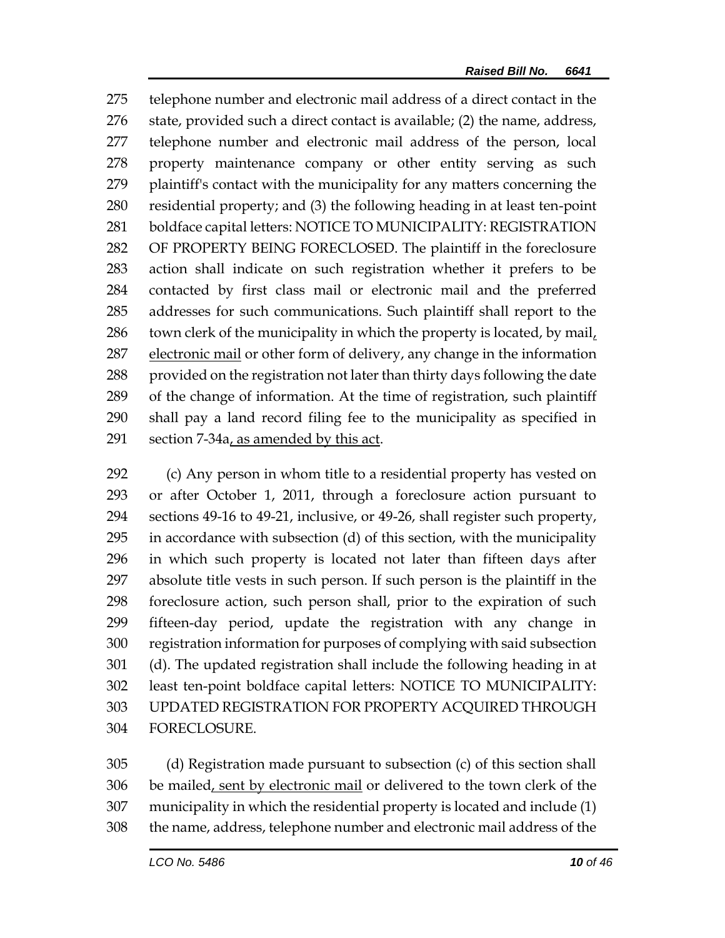telephone number and electronic mail address of a direct contact in the state, provided such a direct contact is available; (2) the name, address, telephone number and electronic mail address of the person, local property maintenance company or other entity serving as such plaintiff's contact with the municipality for any matters concerning the residential property; and (3) the following heading in at least ten-point boldface capital letters: NOTICE TO MUNICIPALITY: REGISTRATION OF PROPERTY BEING FORECLOSED. The plaintiff in the foreclosure action shall indicate on such registration whether it prefers to be contacted by first class mail or electronic mail and the preferred addresses for such communications. Such plaintiff shall report to the town clerk of the municipality in which the property is located, by mail, electronic mail or other form of delivery, any change in the information 288 provided on the registration not later than thirty days following the date of the change of information. At the time of registration, such plaintiff shall pay a land record filing fee to the municipality as specified in section 7-34a, as amended by this act.

 (c) Any person in whom title to a residential property has vested on or after October 1, 2011, through a foreclosure action pursuant to sections 49-16 to 49-21, inclusive, or 49-26, shall register such property, in accordance with subsection (d) of this section, with the municipality in which such property is located not later than fifteen days after absolute title vests in such person. If such person is the plaintiff in the foreclosure action, such person shall, prior to the expiration of such fifteen-day period, update the registration with any change in registration information for purposes of complying with said subsection (d). The updated registration shall include the following heading in at least ten-point boldface capital letters: NOTICE TO MUNICIPALITY: UPDATED REGISTRATION FOR PROPERTY ACQUIRED THROUGH FORECLOSURE.

 (d) Registration made pursuant to subsection (c) of this section shall 306 be mailed, sent by electronic mail or delivered to the town clerk of the municipality in which the residential property is located and include (1) the name, address, telephone number and electronic mail address of the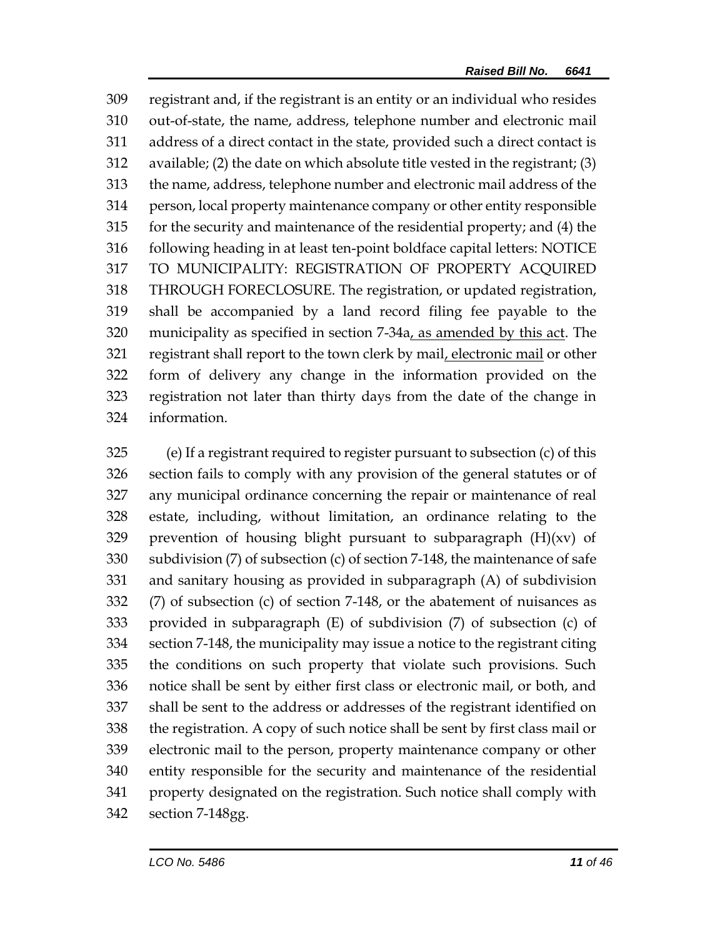registrant and, if the registrant is an entity or an individual who resides out-of-state, the name, address, telephone number and electronic mail address of a direct contact in the state, provided such a direct contact is available; (2) the date on which absolute title vested in the registrant; (3) the name, address, telephone number and electronic mail address of the person, local property maintenance company or other entity responsible for the security and maintenance of the residential property; and (4) the following heading in at least ten-point boldface capital letters: NOTICE TO MUNICIPALITY: REGISTRATION OF PROPERTY ACQUIRED THROUGH FORECLOSURE. The registration, or updated registration, shall be accompanied by a land record filing fee payable to the municipality as specified in section 7-34a, as amended by this act. The registrant shall report to the town clerk by mail, electronic mail or other form of delivery any change in the information provided on the registration not later than thirty days from the date of the change in information.

 (e) If a registrant required to register pursuant to subsection (c) of this section fails to comply with any provision of the general statutes or of any municipal ordinance concerning the repair or maintenance of real estate, including, without limitation, an ordinance relating to the 329 prevention of housing blight pursuant to subparagraph  $(H)(xv)$  of subdivision (7) of subsection (c) of section 7-148, the maintenance of safe and sanitary housing as provided in subparagraph (A) of subdivision (7) of subsection (c) of section 7-148, or the abatement of nuisances as provided in subparagraph (E) of subdivision (7) of subsection (c) of section 7-148, the municipality may issue a notice to the registrant citing the conditions on such property that violate such provisions. Such notice shall be sent by either first class or electronic mail, or both, and shall be sent to the address or addresses of the registrant identified on the registration. A copy of such notice shall be sent by first class mail or electronic mail to the person, property maintenance company or other entity responsible for the security and maintenance of the residential property designated on the registration. Such notice shall comply with section 7-148gg.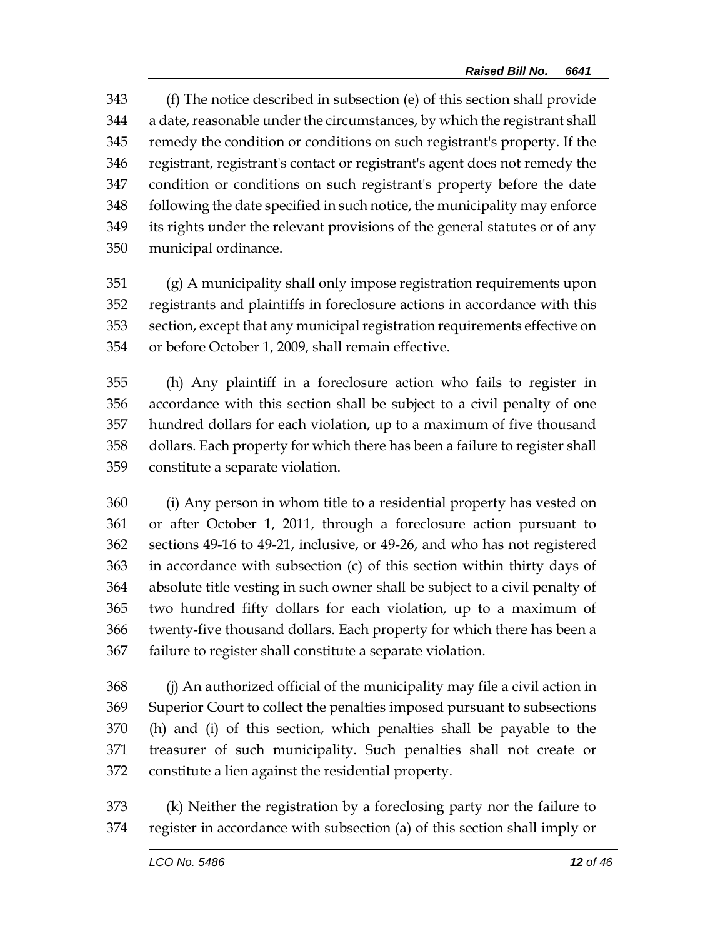(f) The notice described in subsection (e) of this section shall provide a date, reasonable under the circumstances, by which the registrant shall remedy the condition or conditions on such registrant's property. If the registrant, registrant's contact or registrant's agent does not remedy the condition or conditions on such registrant's property before the date following the date specified in such notice, the municipality may enforce its rights under the relevant provisions of the general statutes or of any municipal ordinance.

 (g) A municipality shall only impose registration requirements upon registrants and plaintiffs in foreclosure actions in accordance with this section, except that any municipal registration requirements effective on or before October 1, 2009, shall remain effective.

 (h) Any plaintiff in a foreclosure action who fails to register in accordance with this section shall be subject to a civil penalty of one hundred dollars for each violation, up to a maximum of five thousand dollars. Each property for which there has been a failure to register shall constitute a separate violation.

 (i) Any person in whom title to a residential property has vested on or after October 1, 2011, through a foreclosure action pursuant to sections 49-16 to 49-21, inclusive, or 49-26, and who has not registered in accordance with subsection (c) of this section within thirty days of absolute title vesting in such owner shall be subject to a civil penalty of two hundred fifty dollars for each violation, up to a maximum of twenty-five thousand dollars. Each property for which there has been a failure to register shall constitute a separate violation.

 (j) An authorized official of the municipality may file a civil action in Superior Court to collect the penalties imposed pursuant to subsections (h) and (i) of this section, which penalties shall be payable to the treasurer of such municipality. Such penalties shall not create or constitute a lien against the residential property.

 (k) Neither the registration by a foreclosing party nor the failure to register in accordance with subsection (a) of this section shall imply or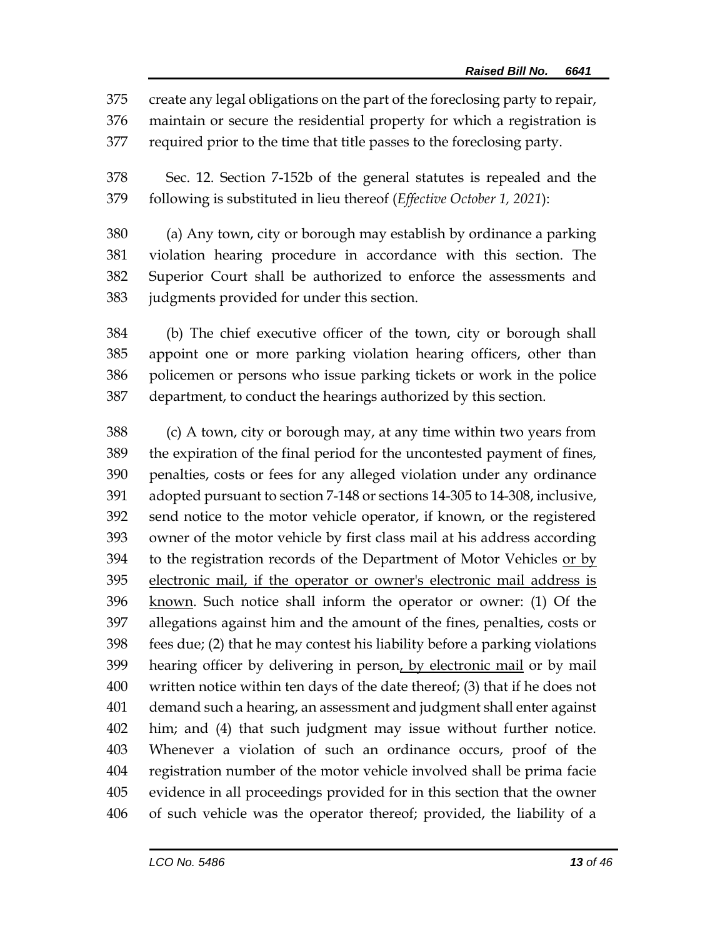create any legal obligations on the part of the foreclosing party to repair,

maintain or secure the residential property for which a registration is

required prior to the time that title passes to the foreclosing party.

 Sec. 12. Section 7-152b of the general statutes is repealed and the following is substituted in lieu thereof (*Effective October 1, 2021*):

 (a) Any town, city or borough may establish by ordinance a parking violation hearing procedure in accordance with this section. The Superior Court shall be authorized to enforce the assessments and judgments provided for under this section.

 (b) The chief executive officer of the town, city or borough shall appoint one or more parking violation hearing officers, other than policemen or persons who issue parking tickets or work in the police department, to conduct the hearings authorized by this section.

 (c) A town, city or borough may, at any time within two years from the expiration of the final period for the uncontested payment of fines, penalties, costs or fees for any alleged violation under any ordinance adopted pursuant to section 7-148 or sections 14-305 to 14-308, inclusive, send notice to the motor vehicle operator, if known, or the registered owner of the motor vehicle by first class mail at his address according to the registration records of the Department of Motor Vehicles or by electronic mail, if the operator or owner's electronic mail address is 396 known. Such notice shall inform the operator or owner: (1) Of the allegations against him and the amount of the fines, penalties, costs or fees due; (2) that he may contest his liability before a parking violations 399 hearing officer by delivering in person, by electronic mail or by mail written notice within ten days of the date thereof; (3) that if he does not demand such a hearing, an assessment and judgment shall enter against him; and (4) that such judgment may issue without further notice. Whenever a violation of such an ordinance occurs, proof of the registration number of the motor vehicle involved shall be prima facie evidence in all proceedings provided for in this section that the owner of such vehicle was the operator thereof; provided, the liability of a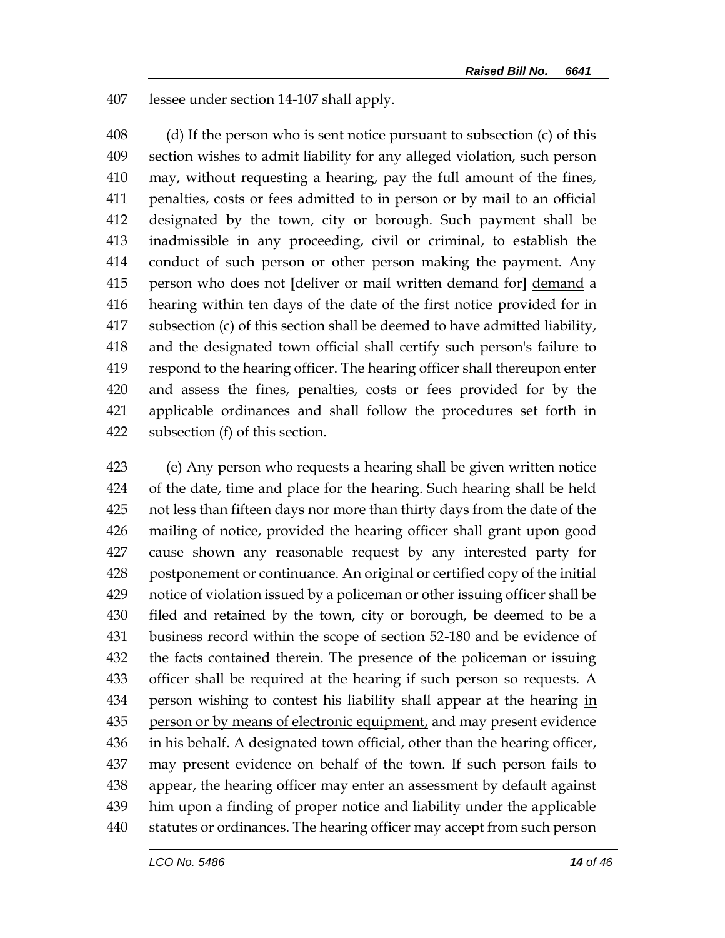lessee under section 14-107 shall apply.

 (d) If the person who is sent notice pursuant to subsection (c) of this section wishes to admit liability for any alleged violation, such person may, without requesting a hearing, pay the full amount of the fines, penalties, costs or fees admitted to in person or by mail to an official designated by the town, city or borough. Such payment shall be inadmissible in any proceeding, civil or criminal, to establish the conduct of such person or other person making the payment. Any person who does not **[**deliver or mail written demand for**]** demand a hearing within ten days of the date of the first notice provided for in subsection (c) of this section shall be deemed to have admitted liability, and the designated town official shall certify such person's failure to respond to the hearing officer. The hearing officer shall thereupon enter and assess the fines, penalties, costs or fees provided for by the applicable ordinances and shall follow the procedures set forth in subsection (f) of this section.

 (e) Any person who requests a hearing shall be given written notice of the date, time and place for the hearing. Such hearing shall be held not less than fifteen days nor more than thirty days from the date of the mailing of notice, provided the hearing officer shall grant upon good cause shown any reasonable request by any interested party for postponement or continuance. An original or certified copy of the initial notice of violation issued by a policeman or other issuing officer shall be filed and retained by the town, city or borough, be deemed to be a business record within the scope of section 52-180 and be evidence of the facts contained therein. The presence of the policeman or issuing officer shall be required at the hearing if such person so requests. A 434 person wishing to contest his liability shall appear at the hearing in 435 person or by means of electronic equipment, and may present evidence in his behalf. A designated town official, other than the hearing officer, may present evidence on behalf of the town. If such person fails to appear, the hearing officer may enter an assessment by default against him upon a finding of proper notice and liability under the applicable statutes or ordinances. The hearing officer may accept from such person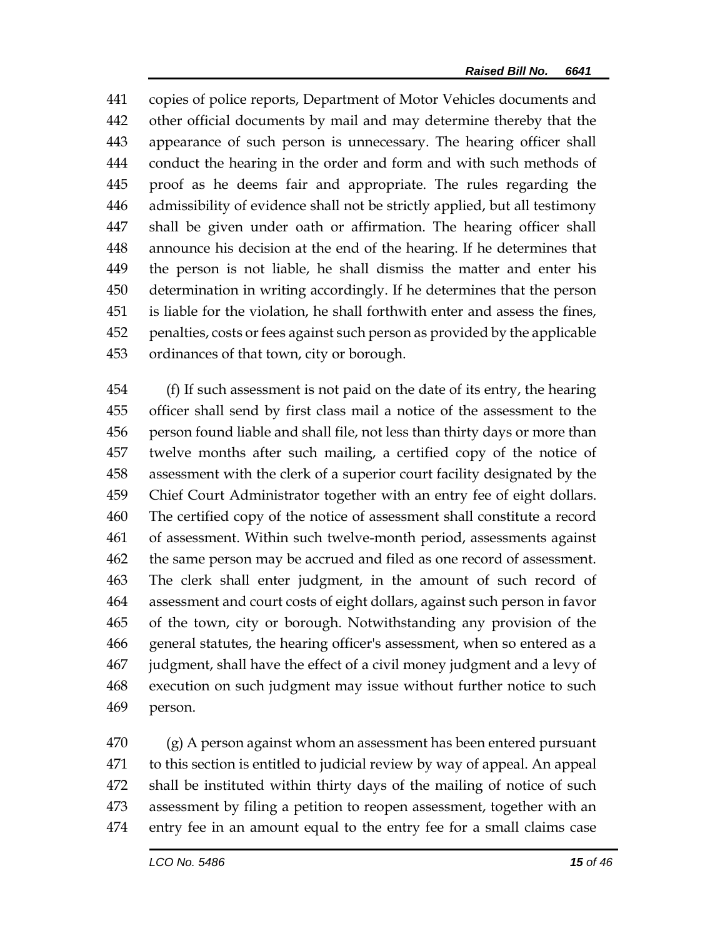copies of police reports, Department of Motor Vehicles documents and other official documents by mail and may determine thereby that the appearance of such person is unnecessary. The hearing officer shall conduct the hearing in the order and form and with such methods of proof as he deems fair and appropriate. The rules regarding the admissibility of evidence shall not be strictly applied, but all testimony shall be given under oath or affirmation. The hearing officer shall announce his decision at the end of the hearing. If he determines that the person is not liable, he shall dismiss the matter and enter his determination in writing accordingly. If he determines that the person is liable for the violation, he shall forthwith enter and assess the fines, penalties, costs or fees against such person as provided by the applicable ordinances of that town, city or borough.

 (f) If such assessment is not paid on the date of its entry, the hearing officer shall send by first class mail a notice of the assessment to the person found liable and shall file, not less than thirty days or more than twelve months after such mailing, a certified copy of the notice of assessment with the clerk of a superior court facility designated by the Chief Court Administrator together with an entry fee of eight dollars. The certified copy of the notice of assessment shall constitute a record of assessment. Within such twelve-month period, assessments against the same person may be accrued and filed as one record of assessment. The clerk shall enter judgment, in the amount of such record of assessment and court costs of eight dollars, against such person in favor of the town, city or borough. Notwithstanding any provision of the general statutes, the hearing officer's assessment, when so entered as a judgment, shall have the effect of a civil money judgment and a levy of execution on such judgment may issue without further notice to such person.

 (g) A person against whom an assessment has been entered pursuant to this section is entitled to judicial review by way of appeal. An appeal shall be instituted within thirty days of the mailing of notice of such assessment by filing a petition to reopen assessment, together with an entry fee in an amount equal to the entry fee for a small claims case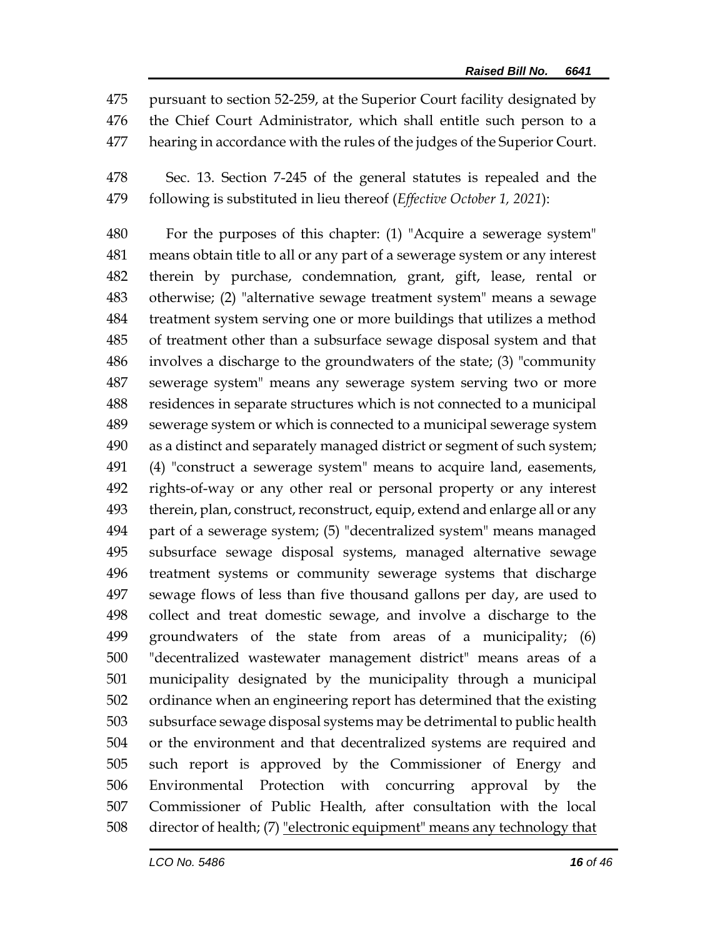pursuant to section 52-259, at the Superior Court facility designated by the Chief Court Administrator, which shall entitle such person to a hearing in accordance with the rules of the judges of the Superior Court.

 Sec. 13. Section 7-245 of the general statutes is repealed and the following is substituted in lieu thereof (*Effective October 1, 2021*):

 For the purposes of this chapter: (1) "Acquire a sewerage system" means obtain title to all or any part of a sewerage system or any interest therein by purchase, condemnation, grant, gift, lease, rental or otherwise; (2) "alternative sewage treatment system" means a sewage treatment system serving one or more buildings that utilizes a method of treatment other than a subsurface sewage disposal system and that involves a discharge to the groundwaters of the state; (3) "community sewerage system" means any sewerage system serving two or more residences in separate structures which is not connected to a municipal sewerage system or which is connected to a municipal sewerage system as a distinct and separately managed district or segment of such system; (4) "construct a sewerage system" means to acquire land, easements, rights-of-way or any other real or personal property or any interest therein, plan, construct, reconstruct, equip, extend and enlarge all or any part of a sewerage system; (5) "decentralized system" means managed subsurface sewage disposal systems, managed alternative sewage treatment systems or community sewerage systems that discharge sewage flows of less than five thousand gallons per day, are used to collect and treat domestic sewage, and involve a discharge to the groundwaters of the state from areas of a municipality; (6) "decentralized wastewater management district" means areas of a municipality designated by the municipality through a municipal ordinance when an engineering report has determined that the existing subsurface sewage disposal systems may be detrimental to public health or the environment and that decentralized systems are required and such report is approved by the Commissioner of Energy and Environmental Protection with concurring approval by the Commissioner of Public Health, after consultation with the local director of health; (7) "electronic equipment" means any technology that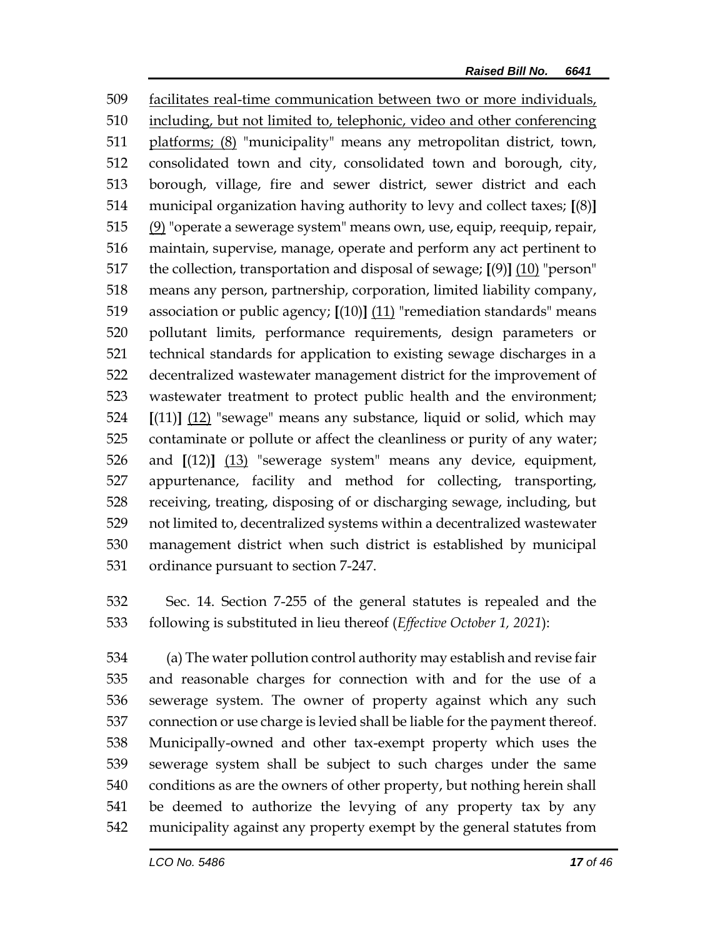facilitates real-time communication between two or more individuals, including, but not limited to, telephonic, video and other conferencing platforms; (8) "municipality" means any metropolitan district, town, consolidated town and city, consolidated town and borough, city, borough, village, fire and sewer district, sewer district and each municipal organization having authority to levy and collect taxes; **[**(8)**]** (9) "operate a sewerage system" means own, use, equip, reequip, repair, maintain, supervise, manage, operate and perform any act pertinent to the collection, transportation and disposal of sewage; **[**(9)**]** (10) "person" means any person, partnership, corporation, limited liability company, association or public agency; **[**(10)**]** (11) "remediation standards" means pollutant limits, performance requirements, design parameters or technical standards for application to existing sewage discharges in a decentralized wastewater management district for the improvement of wastewater treatment to protect public health and the environment; **[**(11)**]** (12) "sewage" means any substance, liquid or solid, which may contaminate or pollute or affect the cleanliness or purity of any water; and **[**(12)**]** (13) "sewerage system" means any device, equipment, appurtenance, facility and method for collecting, transporting, receiving, treating, disposing of or discharging sewage, including, but not limited to, decentralized systems within a decentralized wastewater management district when such district is established by municipal ordinance pursuant to section 7-247.

 Sec. 14. Section 7-255 of the general statutes is repealed and the following is substituted in lieu thereof (*Effective October 1, 2021*):

 (a) The water pollution control authority may establish and revise fair and reasonable charges for connection with and for the use of a sewerage system. The owner of property against which any such connection or use charge is levied shall be liable for the payment thereof. Municipally-owned and other tax-exempt property which uses the sewerage system shall be subject to such charges under the same conditions as are the owners of other property, but nothing herein shall be deemed to authorize the levying of any property tax by any municipality against any property exempt by the general statutes from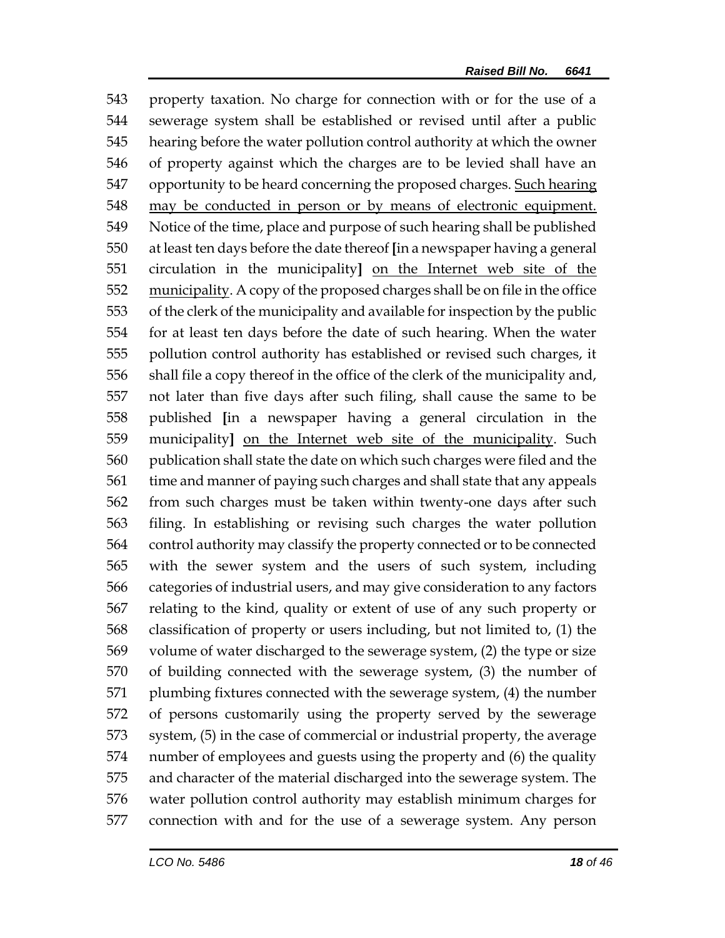property taxation. No charge for connection with or for the use of a sewerage system shall be established or revised until after a public hearing before the water pollution control authority at which the owner of property against which the charges are to be levied shall have an opportunity to be heard concerning the proposed charges. Such hearing may be conducted in person or by means of electronic equipment. Notice of the time, place and purpose of such hearing shall be published at least ten days before the date thereof **[**in a newspaper having a general circulation in the municipality**]** on the Internet web site of the 552 municipality. A copy of the proposed charges shall be on file in the office of the clerk of the municipality and available for inspection by the public for at least ten days before the date of such hearing. When the water pollution control authority has established or revised such charges, it shall file a copy thereof in the office of the clerk of the municipality and, not later than five days after such filing, shall cause the same to be published **[**in a newspaper having a general circulation in the municipality**]** on the Internet web site of the municipality. Such publication shall state the date on which such charges were filed and the time and manner of paying such charges and shall state that any appeals from such charges must be taken within twenty-one days after such filing. In establishing or revising such charges the water pollution control authority may classify the property connected or to be connected with the sewer system and the users of such system, including categories of industrial users, and may give consideration to any factors relating to the kind, quality or extent of use of any such property or classification of property or users including, but not limited to, (1) the volume of water discharged to the sewerage system, (2) the type or size of building connected with the sewerage system, (3) the number of plumbing fixtures connected with the sewerage system, (4) the number of persons customarily using the property served by the sewerage system, (5) in the case of commercial or industrial property, the average number of employees and guests using the property and (6) the quality and character of the material discharged into the sewerage system. The water pollution control authority may establish minimum charges for connection with and for the use of a sewerage system. Any person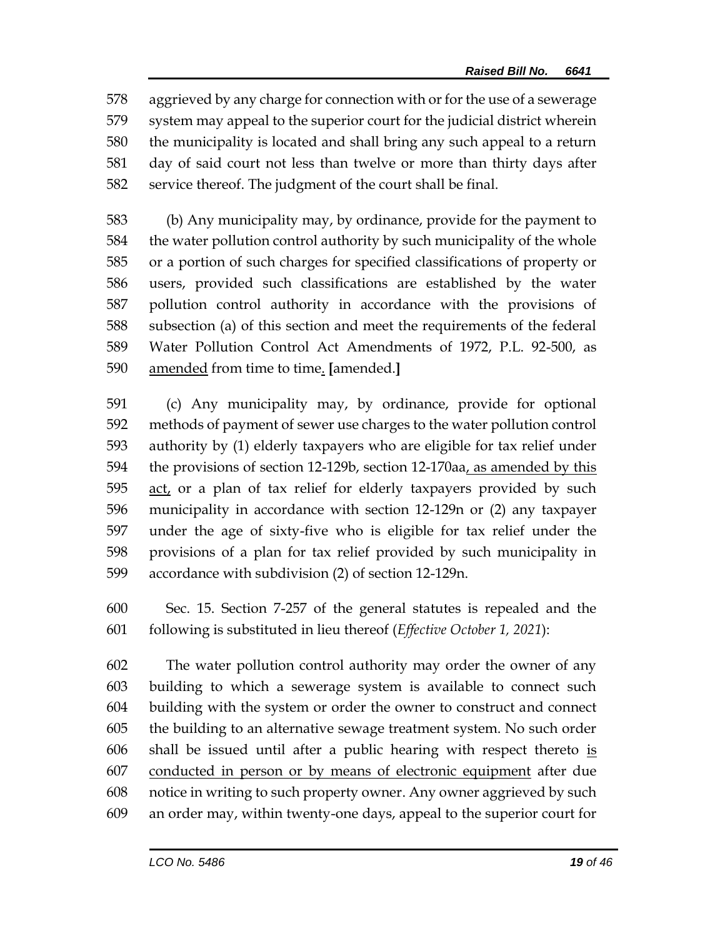aggrieved by any charge for connection with or for the use of a sewerage system may appeal to the superior court for the judicial district wherein the municipality is located and shall bring any such appeal to a return day of said court not less than twelve or more than thirty days after service thereof. The judgment of the court shall be final.

 (b) Any municipality may, by ordinance, provide for the payment to the water pollution control authority by such municipality of the whole or a portion of such charges for specified classifications of property or users, provided such classifications are established by the water pollution control authority in accordance with the provisions of subsection (a) of this section and meet the requirements of the federal Water Pollution Control Act Amendments of 1972, P.L. 92-500, as amended from time to time. **[**amended.**]**

 (c) Any municipality may, by ordinance, provide for optional methods of payment of sewer use charges to the water pollution control authority by (1) elderly taxpayers who are eligible for tax relief under the provisions of section 12-129b, section 12-170aa, as amended by this act, or a plan of tax relief for elderly taxpayers provided by such municipality in accordance with section 12-129n or (2) any taxpayer under the age of sixty-five who is eligible for tax relief under the provisions of a plan for tax relief provided by such municipality in accordance with subdivision (2) of section 12-129n.

 Sec. 15. Section 7-257 of the general statutes is repealed and the following is substituted in lieu thereof (*Effective October 1, 2021*):

 The water pollution control authority may order the owner of any building to which a sewerage system is available to connect such building with the system or order the owner to construct and connect the building to an alternative sewage treatment system. No such order shall be issued until after a public hearing with respect thereto is conducted in person or by means of electronic equipment after due notice in writing to such property owner. Any owner aggrieved by such an order may, within twenty-one days, appeal to the superior court for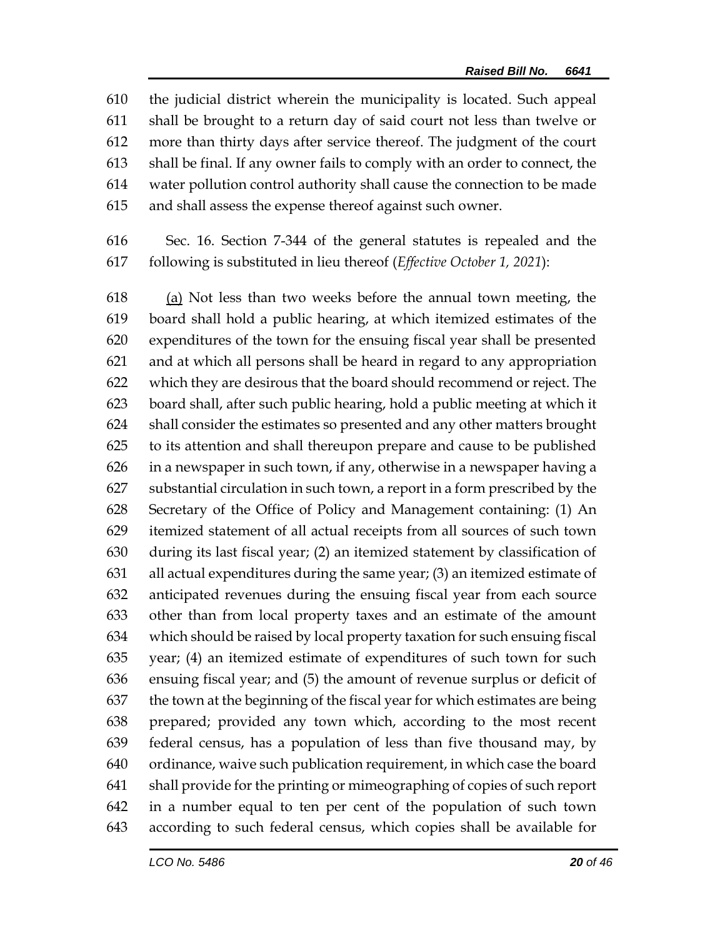the judicial district wherein the municipality is located. Such appeal shall be brought to a return day of said court not less than twelve or more than thirty days after service thereof. The judgment of the court shall be final. If any owner fails to comply with an order to connect, the water pollution control authority shall cause the connection to be made and shall assess the expense thereof against such owner.

 Sec. 16. Section 7-344 of the general statutes is repealed and the following is substituted in lieu thereof (*Effective October 1, 2021*):

 (a) Not less than two weeks before the annual town meeting, the board shall hold a public hearing, at which itemized estimates of the expenditures of the town for the ensuing fiscal year shall be presented and at which all persons shall be heard in regard to any appropriation which they are desirous that the board should recommend or reject. The board shall, after such public hearing, hold a public meeting at which it shall consider the estimates so presented and any other matters brought to its attention and shall thereupon prepare and cause to be published in a newspaper in such town, if any, otherwise in a newspaper having a substantial circulation in such town, a report in a form prescribed by the Secretary of the Office of Policy and Management containing: (1) An itemized statement of all actual receipts from all sources of such town during its last fiscal year; (2) an itemized statement by classification of all actual expenditures during the same year; (3) an itemized estimate of anticipated revenues during the ensuing fiscal year from each source other than from local property taxes and an estimate of the amount which should be raised by local property taxation for such ensuing fiscal year; (4) an itemized estimate of expenditures of such town for such ensuing fiscal year; and (5) the amount of revenue surplus or deficit of the town at the beginning of the fiscal year for which estimates are being prepared; provided any town which, according to the most recent federal census, has a population of less than five thousand may, by ordinance, waive such publication requirement, in which case the board shall provide for the printing or mimeographing of copies of such report in a number equal to ten per cent of the population of such town according to such federal census, which copies shall be available for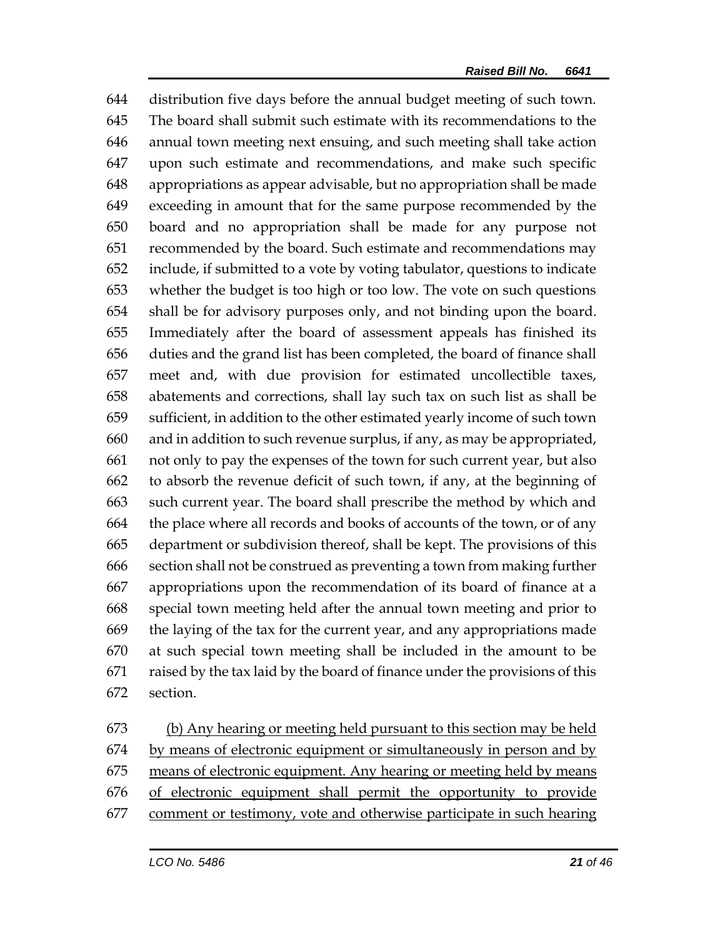distribution five days before the annual budget meeting of such town. The board shall submit such estimate with its recommendations to the annual town meeting next ensuing, and such meeting shall take action upon such estimate and recommendations, and make such specific appropriations as appear advisable, but no appropriation shall be made exceeding in amount that for the same purpose recommended by the board and no appropriation shall be made for any purpose not recommended by the board. Such estimate and recommendations may include, if submitted to a vote by voting tabulator, questions to indicate whether the budget is too high or too low. The vote on such questions shall be for advisory purposes only, and not binding upon the board. Immediately after the board of assessment appeals has finished its duties and the grand list has been completed, the board of finance shall meet and, with due provision for estimated uncollectible taxes, abatements and corrections, shall lay such tax on such list as shall be sufficient, in addition to the other estimated yearly income of such town and in addition to such revenue surplus, if any, as may be appropriated, not only to pay the expenses of the town for such current year, but also to absorb the revenue deficit of such town, if any, at the beginning of such current year. The board shall prescribe the method by which and the place where all records and books of accounts of the town, or of any department or subdivision thereof, shall be kept. The provisions of this section shall not be construed as preventing a town from making further appropriations upon the recommendation of its board of finance at a special town meeting held after the annual town meeting and prior to the laying of the tax for the current year, and any appropriations made at such special town meeting shall be included in the amount to be raised by the tax laid by the board of finance under the provisions of this section.

 (b) Any hearing or meeting held pursuant to this section may be held by means of electronic equipment or simultaneously in person and by means of electronic equipment. Any hearing or meeting held by means of electronic equipment shall permit the opportunity to provide comment or testimony, vote and otherwise participate in such hearing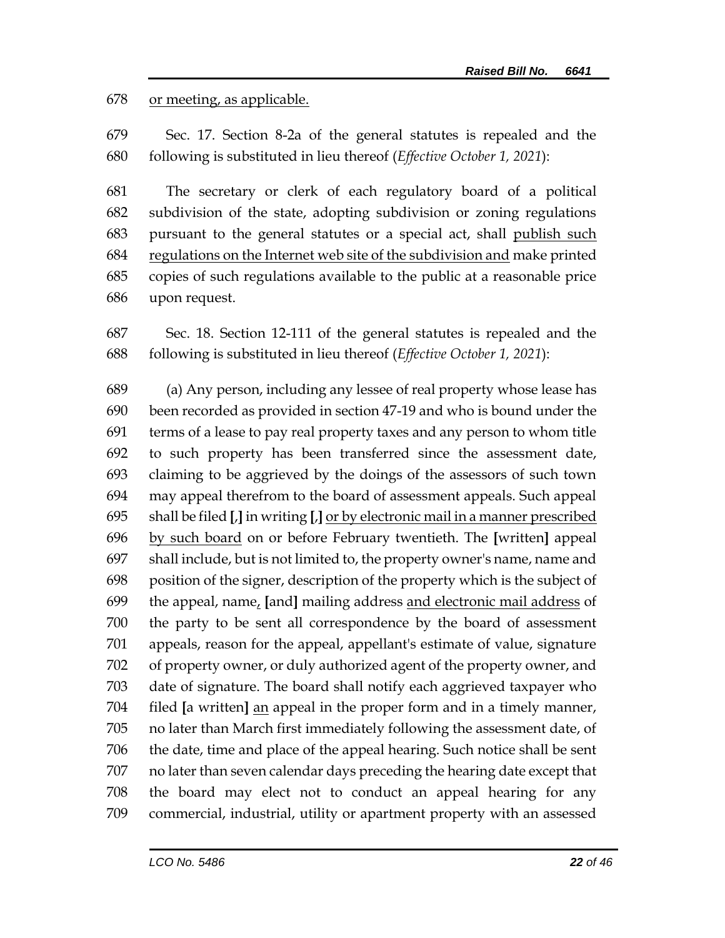or meeting, as applicable.

 Sec. 17. Section 8-2a of the general statutes is repealed and the following is substituted in lieu thereof (*Effective October 1, 2021*):

 The secretary or clerk of each regulatory board of a political subdivision of the state, adopting subdivision or zoning regulations pursuant to the general statutes or a special act, shall publish such 684 regulations on the Internet web site of the subdivision and make printed copies of such regulations available to the public at a reasonable price upon request.

 Sec. 18. Section 12-111 of the general statutes is repealed and the following is substituted in lieu thereof (*Effective October 1, 2021*):

 (a) Any person, including any lessee of real property whose lease has been recorded as provided in section 47-19 and who is bound under the terms of a lease to pay real property taxes and any person to whom title to such property has been transferred since the assessment date, claiming to be aggrieved by the doings of the assessors of such town may appeal therefrom to the board of assessment appeals. Such appeal shall be filed **[**,**]** in writing **[**,**]** or by electronic mail in a manner prescribed by such board on or before February twentieth. The **[**written**]** appeal shall include, but is not limited to, the property owner's name, name and position of the signer, description of the property which is the subject of the appeal, name, **[**and**]** mailing address and electronic mail address of the party to be sent all correspondence by the board of assessment appeals, reason for the appeal, appellant's estimate of value, signature of property owner, or duly authorized agent of the property owner, and date of signature. The board shall notify each aggrieved taxpayer who filed **[**a written**]** an appeal in the proper form and in a timely manner, no later than March first immediately following the assessment date, of the date, time and place of the appeal hearing. Such notice shall be sent no later than seven calendar days preceding the hearing date except that the board may elect not to conduct an appeal hearing for any commercial, industrial, utility or apartment property with an assessed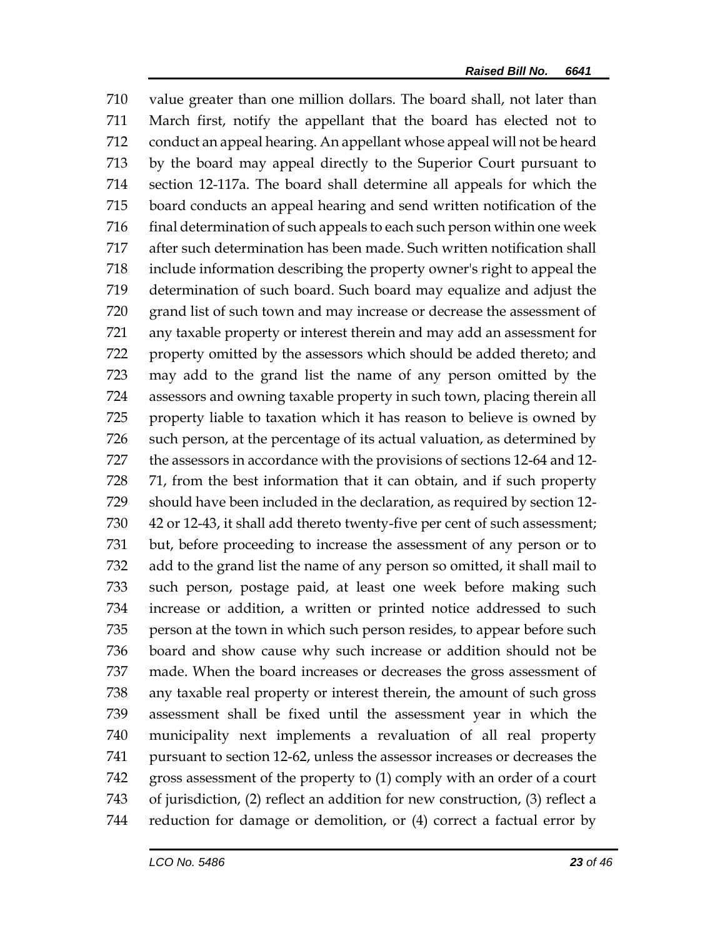value greater than one million dollars. The board shall, not later than March first, notify the appellant that the board has elected not to conduct an appeal hearing. An appellant whose appeal will not be heard by the board may appeal directly to the Superior Court pursuant to section 12-117a. The board shall determine all appeals for which the board conducts an appeal hearing and send written notification of the 716 final determination of such appeals to each such person within one week after such determination has been made. Such written notification shall include information describing the property owner's right to appeal the determination of such board. Such board may equalize and adjust the grand list of such town and may increase or decrease the assessment of any taxable property or interest therein and may add an assessment for property omitted by the assessors which should be added thereto; and may add to the grand list the name of any person omitted by the assessors and owning taxable property in such town, placing therein all property liable to taxation which it has reason to believe is owned by such person, at the percentage of its actual valuation, as determined by the assessors in accordance with the provisions of sections 12-64 and 12- 71, from the best information that it can obtain, and if such property should have been included in the declaration, as required by section 12- 42 or 12-43, it shall add thereto twenty-five per cent of such assessment; but, before proceeding to increase the assessment of any person or to add to the grand list the name of any person so omitted, it shall mail to such person, postage paid, at least one week before making such increase or addition, a written or printed notice addressed to such person at the town in which such person resides, to appear before such board and show cause why such increase or addition should not be made. When the board increases or decreases the gross assessment of any taxable real property or interest therein, the amount of such gross assessment shall be fixed until the assessment year in which the municipality next implements a revaluation of all real property pursuant to section 12-62, unless the assessor increases or decreases the gross assessment of the property to (1) comply with an order of a court of jurisdiction, (2) reflect an addition for new construction, (3) reflect a reduction for damage or demolition, or (4) correct a factual error by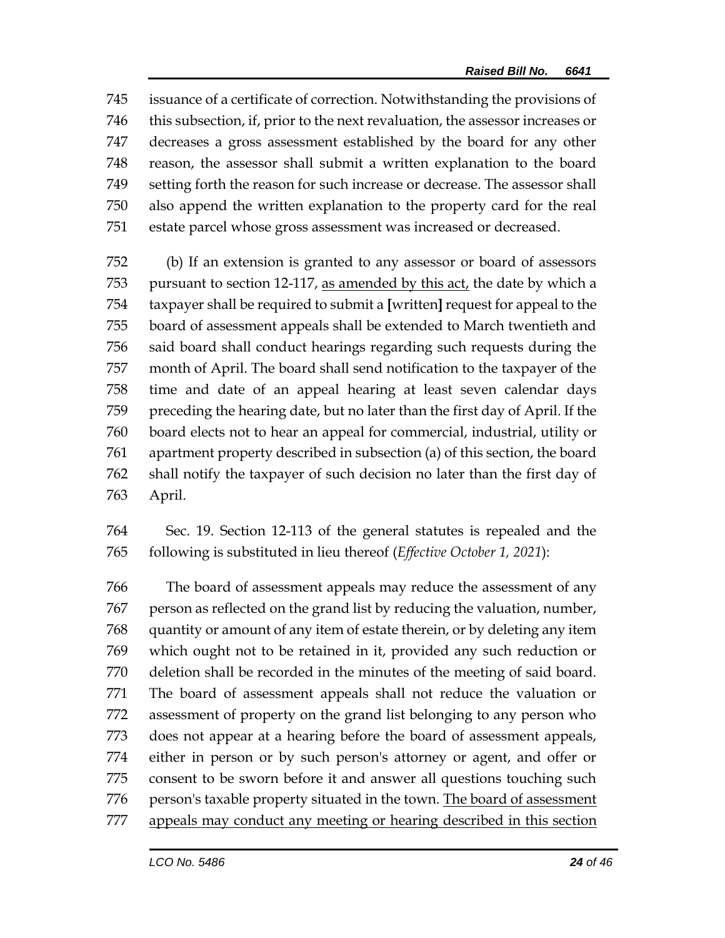issuance of a certificate of correction. Notwithstanding the provisions of this subsection, if, prior to the next revaluation, the assessor increases or decreases a gross assessment established by the board for any other reason, the assessor shall submit a written explanation to the board setting forth the reason for such increase or decrease. The assessor shall also append the written explanation to the property card for the real estate parcel whose gross assessment was increased or decreased.

 (b) If an extension is granted to any assessor or board of assessors pursuant to section 12-117, as amended by this act, the date by which a taxpayer shall be required to submit a **[**written**]** request for appeal to the board of assessment appeals shall be extended to March twentieth and said board shall conduct hearings regarding such requests during the month of April. The board shall send notification to the taxpayer of the time and date of an appeal hearing at least seven calendar days preceding the hearing date, but no later than the first day of April. If the board elects not to hear an appeal for commercial, industrial, utility or apartment property described in subsection (a) of this section, the board shall notify the taxpayer of such decision no later than the first day of April.

 Sec. 19. Section 12-113 of the general statutes is repealed and the following is substituted in lieu thereof (*Effective October 1, 2021*):

 The board of assessment appeals may reduce the assessment of any person as reflected on the grand list by reducing the valuation, number, quantity or amount of any item of estate therein, or by deleting any item which ought not to be retained in it, provided any such reduction or deletion shall be recorded in the minutes of the meeting of said board. The board of assessment appeals shall not reduce the valuation or assessment of property on the grand list belonging to any person who does not appear at a hearing before the board of assessment appeals, either in person or by such person's attorney or agent, and offer or consent to be sworn before it and answer all questions touching such 776 person's taxable property situated in the town. The board of assessment appeals may conduct any meeting or hearing described in this section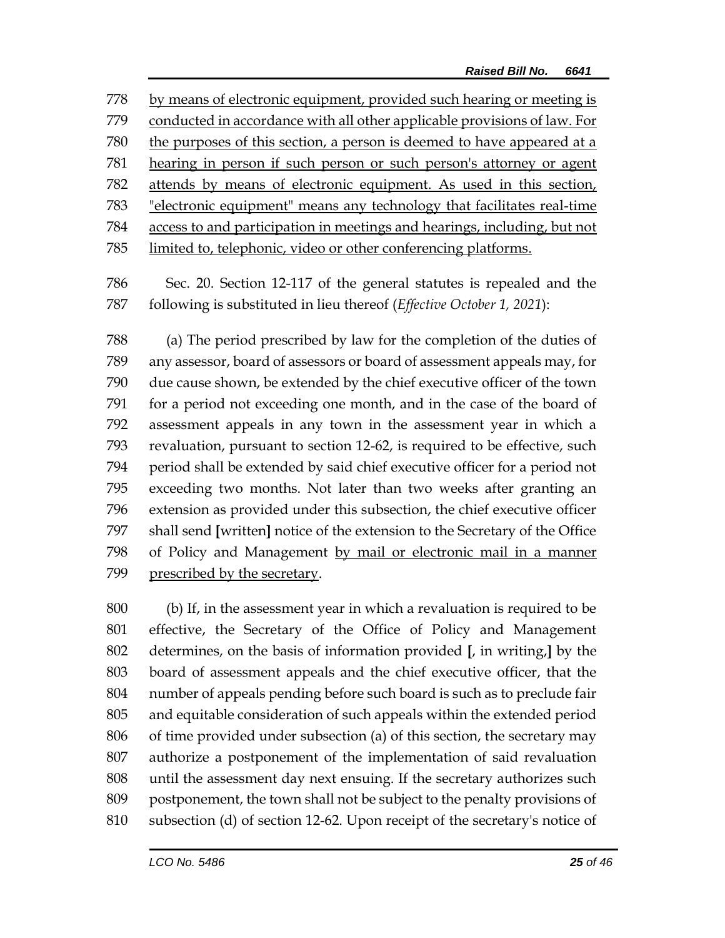by means of electronic equipment, provided such hearing or meeting is conducted in accordance with all other applicable provisions of law. For the purposes of this section, a person is deemed to have appeared at a hearing in person if such person or such person's attorney or agent attends by means of electronic equipment. As used in this section, "electronic equipment" means any technology that facilitates real-time access to and participation in meetings and hearings, including, but not limited to, telephonic, video or other conferencing platforms.

 Sec. 20. Section 12-117 of the general statutes is repealed and the following is substituted in lieu thereof (*Effective October 1, 2021*):

 (a) The period prescribed by law for the completion of the duties of any assessor, board of assessors or board of assessment appeals may, for due cause shown, be extended by the chief executive officer of the town for a period not exceeding one month, and in the case of the board of assessment appeals in any town in the assessment year in which a revaluation, pursuant to section 12-62, is required to be effective, such period shall be extended by said chief executive officer for a period not exceeding two months. Not later than two weeks after granting an extension as provided under this subsection, the chief executive officer shall send **[**written**]** notice of the extension to the Secretary of the Office of Policy and Management by mail or electronic mail in a manner prescribed by the secretary.

 (b) If, in the assessment year in which a revaluation is required to be effective, the Secretary of the Office of Policy and Management determines, on the basis of information provided **[**, in writing,**]** by the board of assessment appeals and the chief executive officer, that the number of appeals pending before such board is such as to preclude fair and equitable consideration of such appeals within the extended period of time provided under subsection (a) of this section, the secretary may authorize a postponement of the implementation of said revaluation until the assessment day next ensuing. If the secretary authorizes such postponement, the town shall not be subject to the penalty provisions of subsection (d) of section 12-62. Upon receipt of the secretary's notice of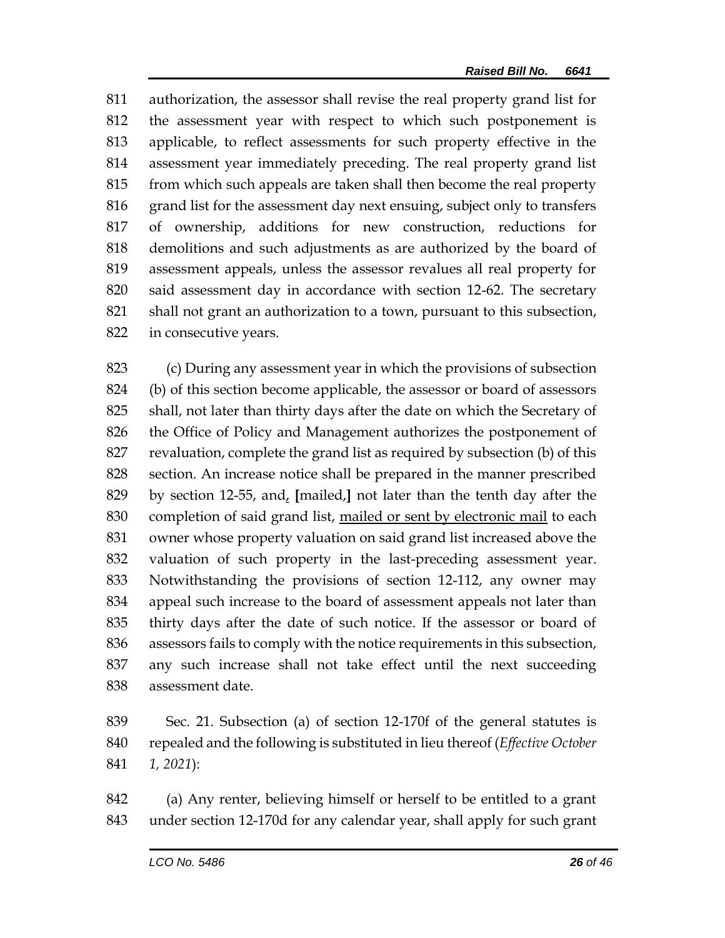authorization, the assessor shall revise the real property grand list for the assessment year with respect to which such postponement is applicable, to reflect assessments for such property effective in the assessment year immediately preceding. The real property grand list from which such appeals are taken shall then become the real property grand list for the assessment day next ensuing, subject only to transfers of ownership, additions for new construction, reductions for demolitions and such adjustments as are authorized by the board of assessment appeals, unless the assessor revalues all real property for said assessment day in accordance with section 12-62. The secretary shall not grant an authorization to a town, pursuant to this subsection, in consecutive years.

 (c) During any assessment year in which the provisions of subsection (b) of this section become applicable, the assessor or board of assessors shall, not later than thirty days after the date on which the Secretary of the Office of Policy and Management authorizes the postponement of revaluation, complete the grand list as required by subsection (b) of this section. An increase notice shall be prepared in the manner prescribed by section 12-55, and, **[**mailed,**]** not later than the tenth day after the completion of said grand list, mailed or sent by electronic mail to each owner whose property valuation on said grand list increased above the valuation of such property in the last-preceding assessment year. Notwithstanding the provisions of section 12-112, any owner may appeal such increase to the board of assessment appeals not later than thirty days after the date of such notice. If the assessor or board of assessors fails to comply with the notice requirements in this subsection, any such increase shall not take effect until the next succeeding assessment date.

 Sec. 21. Subsection (a) of section 12-170f of the general statutes is repealed and the following is substituted in lieu thereof (*Effective October 1, 2021*):

 (a) Any renter, believing himself or herself to be entitled to a grant under section 12-170d for any calendar year, shall apply for such grant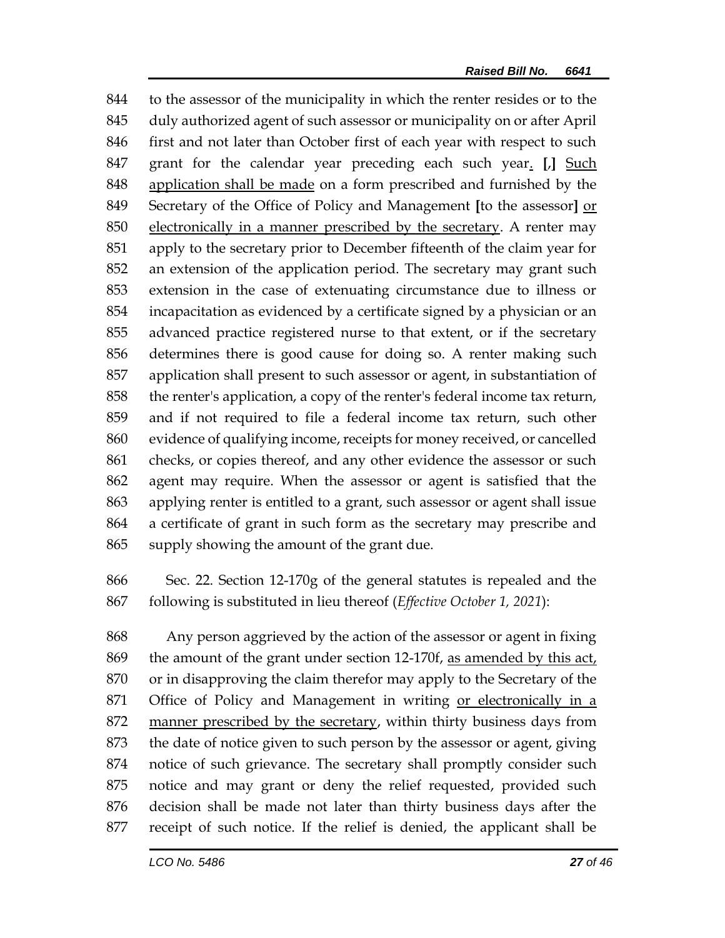to the assessor of the municipality in which the renter resides or to the duly authorized agent of such assessor or municipality on or after April 846 first and not later than October first of each year with respect to such grant for the calendar year preceding each such year. **[**,**]** Such application shall be made on a form prescribed and furnished by the Secretary of the Office of Policy and Management **[**to the assessor**]** or electronically in a manner prescribed by the secretary. A renter may apply to the secretary prior to December fifteenth of the claim year for an extension of the application period. The secretary may grant such extension in the case of extenuating circumstance due to illness or incapacitation as evidenced by a certificate signed by a physician or an advanced practice registered nurse to that extent, or if the secretary determines there is good cause for doing so. A renter making such application shall present to such assessor or agent, in substantiation of the renter's application, a copy of the renter's federal income tax return, and if not required to file a federal income tax return, such other evidence of qualifying income, receipts for money received, or cancelled checks, or copies thereof, and any other evidence the assessor or such agent may require. When the assessor or agent is satisfied that the applying renter is entitled to a grant, such assessor or agent shall issue a certificate of grant in such form as the secretary may prescribe and supply showing the amount of the grant due.

 Sec. 22. Section 12-170g of the general statutes is repealed and the following is substituted in lieu thereof (*Effective October 1, 2021*):

 Any person aggrieved by the action of the assessor or agent in fixing the amount of the grant under section 12-170f, as amended by this act, or in disapproving the claim therefor may apply to the Secretary of the Office of Policy and Management in writing or electronically in a 872 manner prescribed by the secretary, within thirty business days from the date of notice given to such person by the assessor or agent, giving notice of such grievance. The secretary shall promptly consider such notice and may grant or deny the relief requested, provided such decision shall be made not later than thirty business days after the receipt of such notice. If the relief is denied, the applicant shall be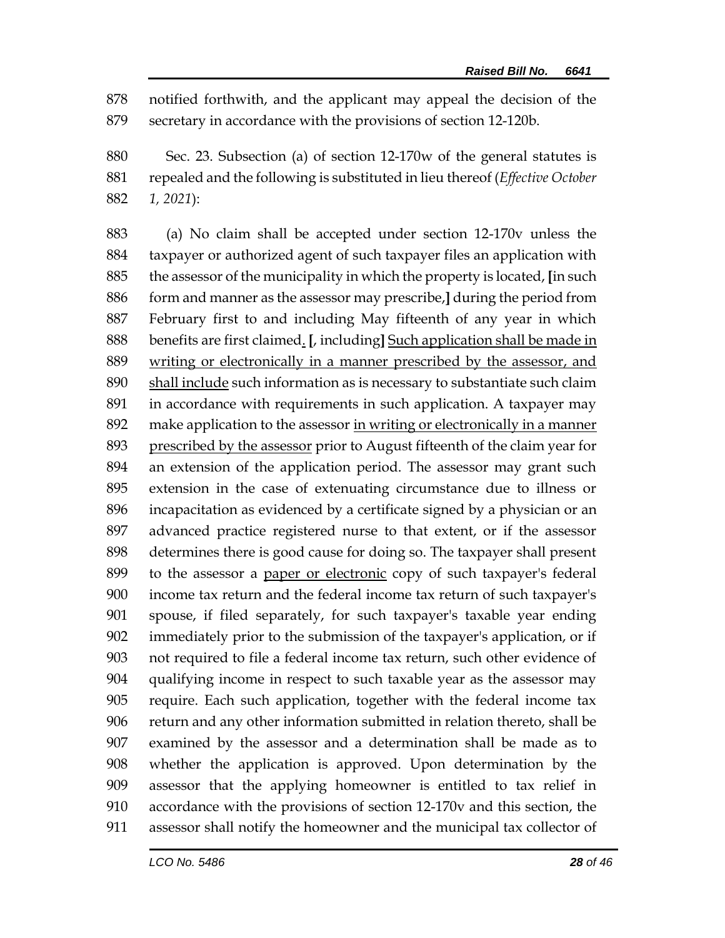notified forthwith, and the applicant may appeal the decision of the secretary in accordance with the provisions of section 12-120b.

 Sec. 23. Subsection (a) of section 12-170w of the general statutes is repealed and the following is substituted in lieu thereof (*Effective October 1, 2021*):

 (a) No claim shall be accepted under section 12-170v unless the taxpayer or authorized agent of such taxpayer files an application with the assessor of the municipality in which the property is located, **[**in such form and manner as the assessor may prescribe,**]** during the period from February first to and including May fifteenth of any year in which benefits are first claimed. **[**, including**]** Such application shall be made in writing or electronically in a manner prescribed by the assessor, and shall include such information as is necessary to substantiate such claim in accordance with requirements in such application. A taxpayer may make application to the assessor in writing or electronically in a manner prescribed by the assessor prior to August fifteenth of the claim year for an extension of the application period. The assessor may grant such extension in the case of extenuating circumstance due to illness or incapacitation as evidenced by a certificate signed by a physician or an advanced practice registered nurse to that extent, or if the assessor determines there is good cause for doing so. The taxpayer shall present to the assessor a paper or electronic copy of such taxpayer's federal income tax return and the federal income tax return of such taxpayer's spouse, if filed separately, for such taxpayer's taxable year ending immediately prior to the submission of the taxpayer's application, or if not required to file a federal income tax return, such other evidence of qualifying income in respect to such taxable year as the assessor may require. Each such application, together with the federal income tax return and any other information submitted in relation thereto, shall be examined by the assessor and a determination shall be made as to whether the application is approved. Upon determination by the assessor that the applying homeowner is entitled to tax relief in accordance with the provisions of section 12-170v and this section, the assessor shall notify the homeowner and the municipal tax collector of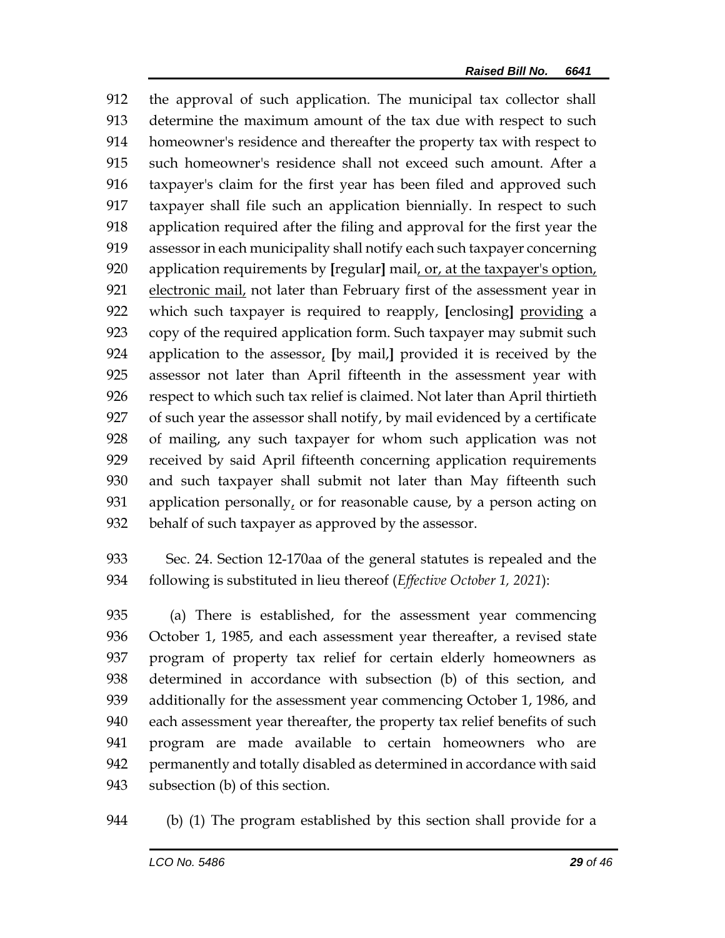the approval of such application. The municipal tax collector shall determine the maximum amount of the tax due with respect to such homeowner's residence and thereafter the property tax with respect to such homeowner's residence shall not exceed such amount. After a taxpayer's claim for the first year has been filed and approved such taxpayer shall file such an application biennially. In respect to such application required after the filing and approval for the first year the assessor in each municipality shall notify each such taxpayer concerning application requirements by **[**regular**]** mail, or, at the taxpayer's option, electronic mail, not later than February first of the assessment year in which such taxpayer is required to reapply, **[**enclosing**]** providing a copy of the required application form. Such taxpayer may submit such application to the assessor, **[**by mail,**]** provided it is received by the assessor not later than April fifteenth in the assessment year with respect to which such tax relief is claimed. Not later than April thirtieth of such year the assessor shall notify, by mail evidenced by a certificate of mailing, any such taxpayer for whom such application was not received by said April fifteenth concerning application requirements and such taxpayer shall submit not later than May fifteenth such application personally, or for reasonable cause, by a person acting on behalf of such taxpayer as approved by the assessor.

 Sec. 24. Section 12-170aa of the general statutes is repealed and the following is substituted in lieu thereof (*Effective October 1, 2021*):

 (a) There is established, for the assessment year commencing October 1, 1985, and each assessment year thereafter, a revised state program of property tax relief for certain elderly homeowners as determined in accordance with subsection (b) of this section, and additionally for the assessment year commencing October 1, 1986, and each assessment year thereafter, the property tax relief benefits of such program are made available to certain homeowners who are permanently and totally disabled as determined in accordance with said subsection (b) of this section.

(b) (1) The program established by this section shall provide for a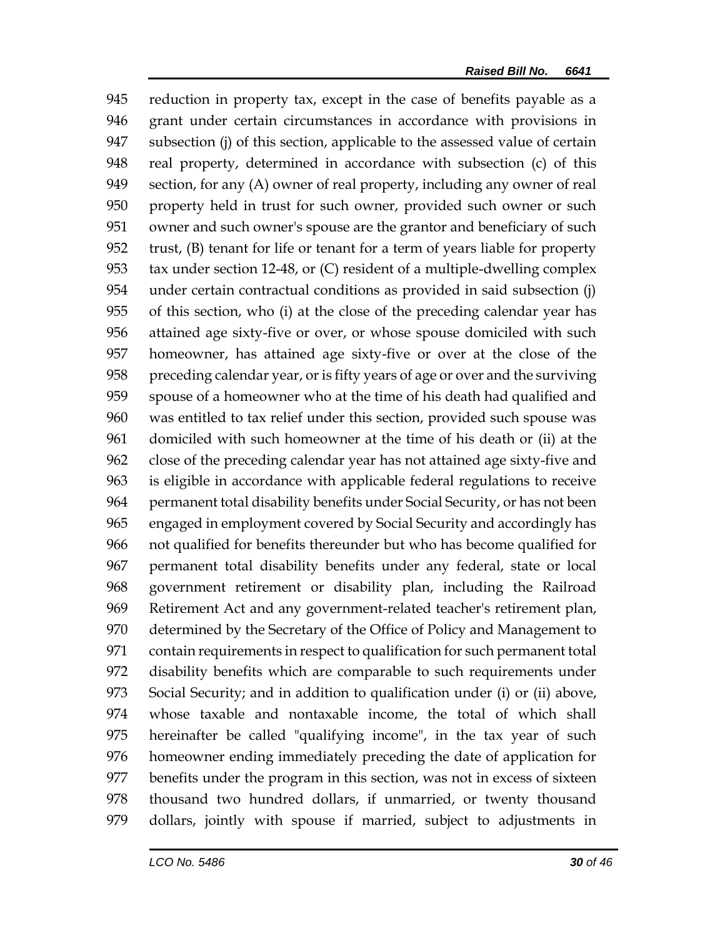reduction in property tax, except in the case of benefits payable as a grant under certain circumstances in accordance with provisions in subsection (j) of this section, applicable to the assessed value of certain real property, determined in accordance with subsection (c) of this section, for any (A) owner of real property, including any owner of real property held in trust for such owner, provided such owner or such owner and such owner's spouse are the grantor and beneficiary of such trust, (B) tenant for life or tenant for a term of years liable for property tax under section 12-48, or (C) resident of a multiple-dwelling complex under certain contractual conditions as provided in said subsection (j) of this section, who (i) at the close of the preceding calendar year has attained age sixty-five or over, or whose spouse domiciled with such homeowner, has attained age sixty-five or over at the close of the preceding calendar year, or is fifty years of age or over and the surviving spouse of a homeowner who at the time of his death had qualified and was entitled to tax relief under this section, provided such spouse was domiciled with such homeowner at the time of his death or (ii) at the close of the preceding calendar year has not attained age sixty-five and is eligible in accordance with applicable federal regulations to receive permanent total disability benefits under Social Security, or has not been engaged in employment covered by Social Security and accordingly has not qualified for benefits thereunder but who has become qualified for permanent total disability benefits under any federal, state or local government retirement or disability plan, including the Railroad Retirement Act and any government-related teacher's retirement plan, determined by the Secretary of the Office of Policy and Management to contain requirements in respect to qualification for such permanent total disability benefits which are comparable to such requirements under Social Security; and in addition to qualification under (i) or (ii) above, whose taxable and nontaxable income, the total of which shall hereinafter be called "qualifying income", in the tax year of such homeowner ending immediately preceding the date of application for benefits under the program in this section, was not in excess of sixteen thousand two hundred dollars, if unmarried, or twenty thousand dollars, jointly with spouse if married, subject to adjustments in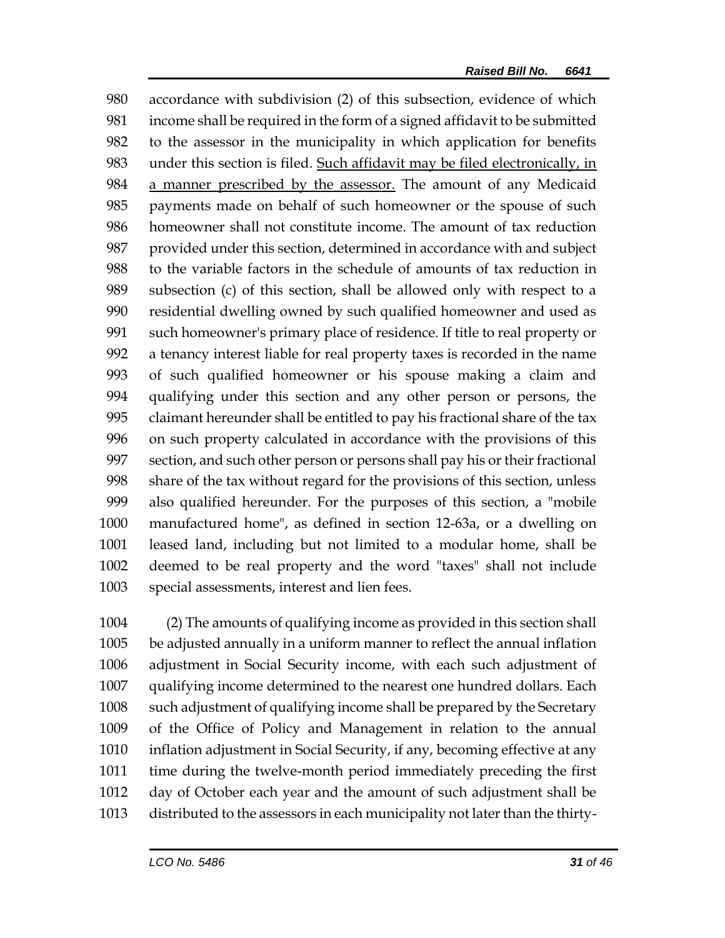accordance with subdivision (2) of this subsection, evidence of which income shall be required in the form of a signed affidavit to be submitted to the assessor in the municipality in which application for benefits under this section is filed. Such affidavit may be filed electronically, in a manner prescribed by the assessor. The amount of any Medicaid payments made on behalf of such homeowner or the spouse of such homeowner shall not constitute income. The amount of tax reduction provided under this section, determined in accordance with and subject to the variable factors in the schedule of amounts of tax reduction in subsection (c) of this section, shall be allowed only with respect to a residential dwelling owned by such qualified homeowner and used as such homeowner's primary place of residence. If title to real property or a tenancy interest liable for real property taxes is recorded in the name of such qualified homeowner or his spouse making a claim and qualifying under this section and any other person or persons, the claimant hereunder shall be entitled to pay his fractional share of the tax on such property calculated in accordance with the provisions of this section, and such other person or persons shall pay his or their fractional share of the tax without regard for the provisions of this section, unless also qualified hereunder. For the purposes of this section, a "mobile manufactured home", as defined in section 12-63a, or a dwelling on leased land, including but not limited to a modular home, shall be deemed to be real property and the word "taxes" shall not include special assessments, interest and lien fees.

 (2) The amounts of qualifying income as provided in this section shall be adjusted annually in a uniform manner to reflect the annual inflation adjustment in Social Security income, with each such adjustment of qualifying income determined to the nearest one hundred dollars. Each such adjustment of qualifying income shall be prepared by the Secretary of the Office of Policy and Management in relation to the annual inflation adjustment in Social Security, if any, becoming effective at any time during the twelve-month period immediately preceding the first day of October each year and the amount of such adjustment shall be distributed to the assessors in each municipality not later than the thirty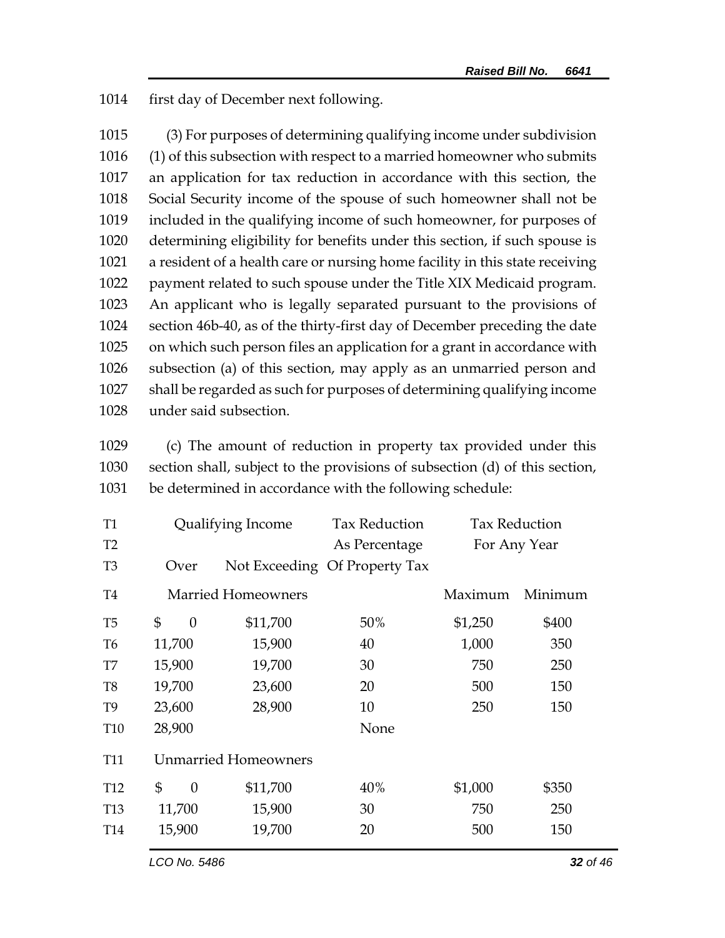1014 first day of December next following.

 (3) For purposes of determining qualifying income under subdivision (1) of this subsection with respect to a married homeowner who submits an application for tax reduction in accordance with this section, the Social Security income of the spouse of such homeowner shall not be included in the qualifying income of such homeowner, for purposes of determining eligibility for benefits under this section, if such spouse is a resident of a health care or nursing home facility in this state receiving payment related to such spouse under the Title XIX Medicaid program. An applicant who is legally separated pursuant to the provisions of section 46b-40, as of the thirty-first day of December preceding the date on which such person files an application for a grant in accordance with subsection (a) of this section, may apply as an unmarried person and shall be regarded as such for purposes of determining qualifying income under said subsection.

1029 (c) The amount of reduction in property tax provided under this 1030 section shall, subject to the provisions of subsection (d) of this section, 1031 be determined in accordance with the following schedule:

| T <sub>1</sub>  | Qualifying Income    |                             | <b>Tax Reduction</b>          | <b>Tax Reduction</b> |         |
|-----------------|----------------------|-----------------------------|-------------------------------|----------------------|---------|
| T <sub>2</sub>  |                      |                             | As Percentage                 | For Any Year         |         |
| T <sub>3</sub>  | Over                 |                             | Not Exceeding Of Property Tax |                      |         |
| <b>T4</b>       |                      | <b>Married Homeowners</b>   |                               | Maximum              | Minimum |
| T <sub>5</sub>  | \$<br>$\theta$       | \$11,700                    | 50%                           | \$1,250              | \$400   |
| T <sub>6</sub>  | 11,700               | 15,900                      | 40                            | 1,000                | 350     |
| T7              | 15,900               | 19,700                      | 30                            | 750                  | 250     |
| T <sub>8</sub>  | 19,700               | 23,600                      | 20                            | 500                  | 150     |
| T <sub>9</sub>  | 23,600               | 28,900                      | 10                            | 250                  | 150     |
| <b>T10</b>      | 28,900               |                             | None                          |                      |         |
| <b>T11</b>      |                      | <b>Unmarried Homeowners</b> |                               |                      |         |
| T <sub>12</sub> | \$<br>$\overline{0}$ | \$11,700                    | 40%                           | \$1,000              | \$350   |
| T <sub>13</sub> | 11,700               | 15,900                      | 30                            | 750                  | 250     |
| T <sub>14</sub> | 15,900               | 19,700                      | 20                            | 500                  | 150     |
|                 |                      |                             |                               |                      |         |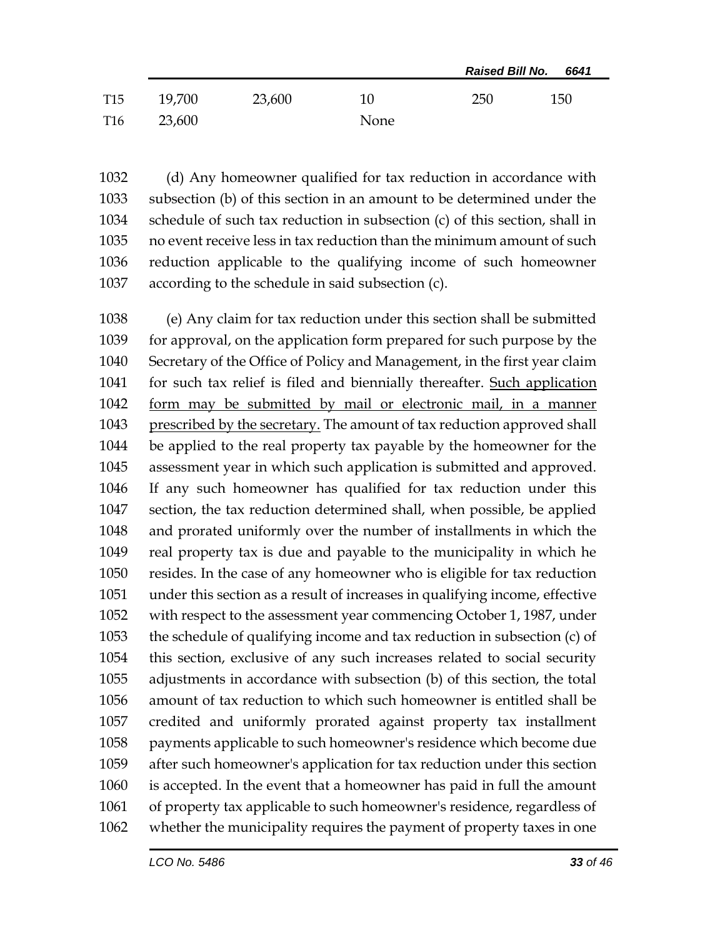|                 |        |        |      | <b>Raised Bill No.</b><br>6641 |     |
|-----------------|--------|--------|------|--------------------------------|-----|
| <b>T15</b>      | 19,700 | 23,600 | 10   | 250                            | 150 |
| T <sub>16</sub> | 23,600 |        | None |                                |     |

 (d) Any homeowner qualified for tax reduction in accordance with subsection (b) of this section in an amount to be determined under the schedule of such tax reduction in subsection (c) of this section, shall in no event receive less in tax reduction than the minimum amount of such reduction applicable to the qualifying income of such homeowner according to the schedule in said subsection (c).

 (e) Any claim for tax reduction under this section shall be submitted for approval, on the application form prepared for such purpose by the Secretary of the Office of Policy and Management, in the first year claim for such tax relief is filed and biennially thereafter. Such application form may be submitted by mail or electronic mail, in a manner 1043 prescribed by the secretary. The amount of tax reduction approved shall be applied to the real property tax payable by the homeowner for the assessment year in which such application is submitted and approved. If any such homeowner has qualified for tax reduction under this section, the tax reduction determined shall, when possible, be applied and prorated uniformly over the number of installments in which the real property tax is due and payable to the municipality in which he resides. In the case of any homeowner who is eligible for tax reduction under this section as a result of increases in qualifying income, effective with respect to the assessment year commencing October 1, 1987, under the schedule of qualifying income and tax reduction in subsection (c) of this section, exclusive of any such increases related to social security adjustments in accordance with subsection (b) of this section, the total amount of tax reduction to which such homeowner is entitled shall be credited and uniformly prorated against property tax installment payments applicable to such homeowner's residence which become due after such homeowner's application for tax reduction under this section is accepted. In the event that a homeowner has paid in full the amount of property tax applicable to such homeowner's residence, regardless of whether the municipality requires the payment of property taxes in one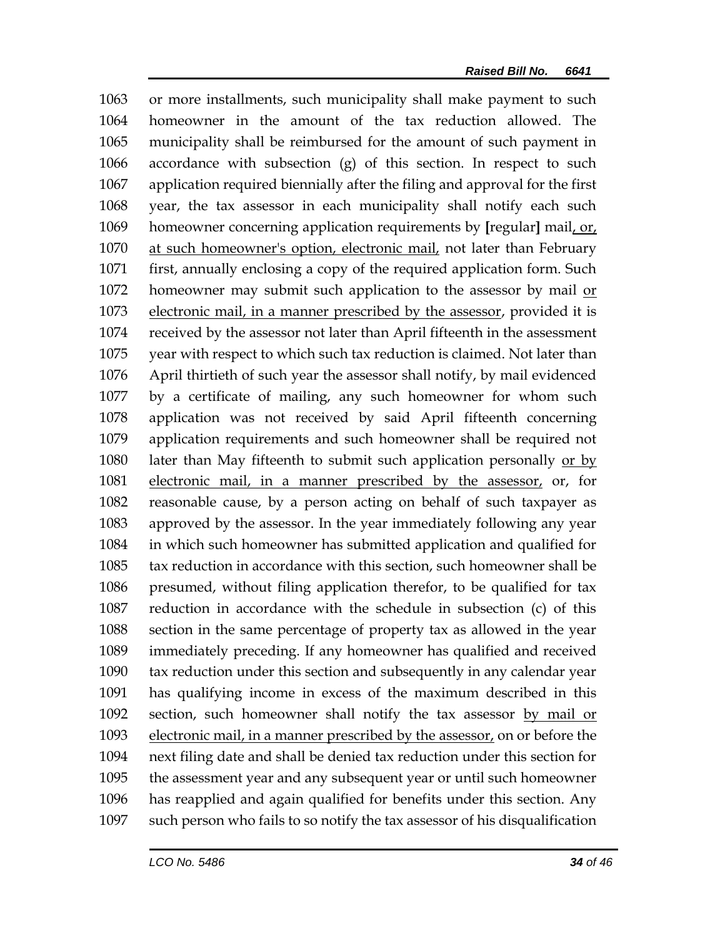or more installments, such municipality shall make payment to such homeowner in the amount of the tax reduction allowed. The municipality shall be reimbursed for the amount of such payment in accordance with subsection (g) of this section. In respect to such application required biennially after the filing and approval for the first year, the tax assessor in each municipality shall notify each such homeowner concerning application requirements by **[**regular**]** mail, or, at such homeowner's option, electronic mail, not later than February first, annually enclosing a copy of the required application form. Such 1072 homeowner may submit such application to the assessor by mail or 1073 electronic mail, in a manner prescribed by the assessor, provided it is received by the assessor not later than April fifteenth in the assessment year with respect to which such tax reduction is claimed. Not later than April thirtieth of such year the assessor shall notify, by mail evidenced by a certificate of mailing, any such homeowner for whom such application was not received by said April fifteenth concerning application requirements and such homeowner shall be required not 1080 later than May fifteenth to submit such application personally or by electronic mail, in a manner prescribed by the assessor, or, for reasonable cause, by a person acting on behalf of such taxpayer as approved by the assessor. In the year immediately following any year in which such homeowner has submitted application and qualified for tax reduction in accordance with this section, such homeowner shall be presumed, without filing application therefor, to be qualified for tax reduction in accordance with the schedule in subsection (c) of this section in the same percentage of property tax as allowed in the year immediately preceding. If any homeowner has qualified and received tax reduction under this section and subsequently in any calendar year has qualifying income in excess of the maximum described in this 1092 section, such homeowner shall notify the tax assessor by mail or electronic mail, in a manner prescribed by the assessor, on or before the next filing date and shall be denied tax reduction under this section for the assessment year and any subsequent year or until such homeowner has reapplied and again qualified for benefits under this section. Any such person who fails to so notify the tax assessor of his disqualification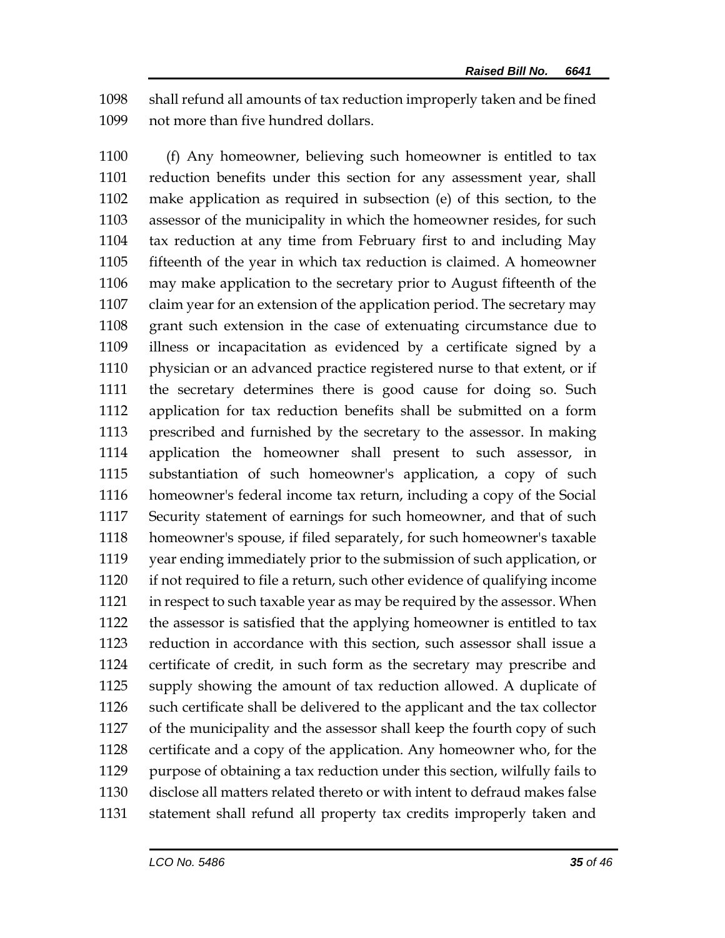shall refund all amounts of tax reduction improperly taken and be fined not more than five hundred dollars.

 (f) Any homeowner, believing such homeowner is entitled to tax reduction benefits under this section for any assessment year, shall make application as required in subsection (e) of this section, to the assessor of the municipality in which the homeowner resides, for such tax reduction at any time from February first to and including May fifteenth of the year in which tax reduction is claimed. A homeowner may make application to the secretary prior to August fifteenth of the claim year for an extension of the application period. The secretary may grant such extension in the case of extenuating circumstance due to illness or incapacitation as evidenced by a certificate signed by a physician or an advanced practice registered nurse to that extent, or if the secretary determines there is good cause for doing so. Such application for tax reduction benefits shall be submitted on a form prescribed and furnished by the secretary to the assessor. In making application the homeowner shall present to such assessor, in substantiation of such homeowner's application, a copy of such homeowner's federal income tax return, including a copy of the Social Security statement of earnings for such homeowner, and that of such homeowner's spouse, if filed separately, for such homeowner's taxable year ending immediately prior to the submission of such application, or if not required to file a return, such other evidence of qualifying income in respect to such taxable year as may be required by the assessor. When the assessor is satisfied that the applying homeowner is entitled to tax reduction in accordance with this section, such assessor shall issue a certificate of credit, in such form as the secretary may prescribe and supply showing the amount of tax reduction allowed. A duplicate of such certificate shall be delivered to the applicant and the tax collector of the municipality and the assessor shall keep the fourth copy of such certificate and a copy of the application. Any homeowner who, for the purpose of obtaining a tax reduction under this section, wilfully fails to disclose all matters related thereto or with intent to defraud makes false statement shall refund all property tax credits improperly taken and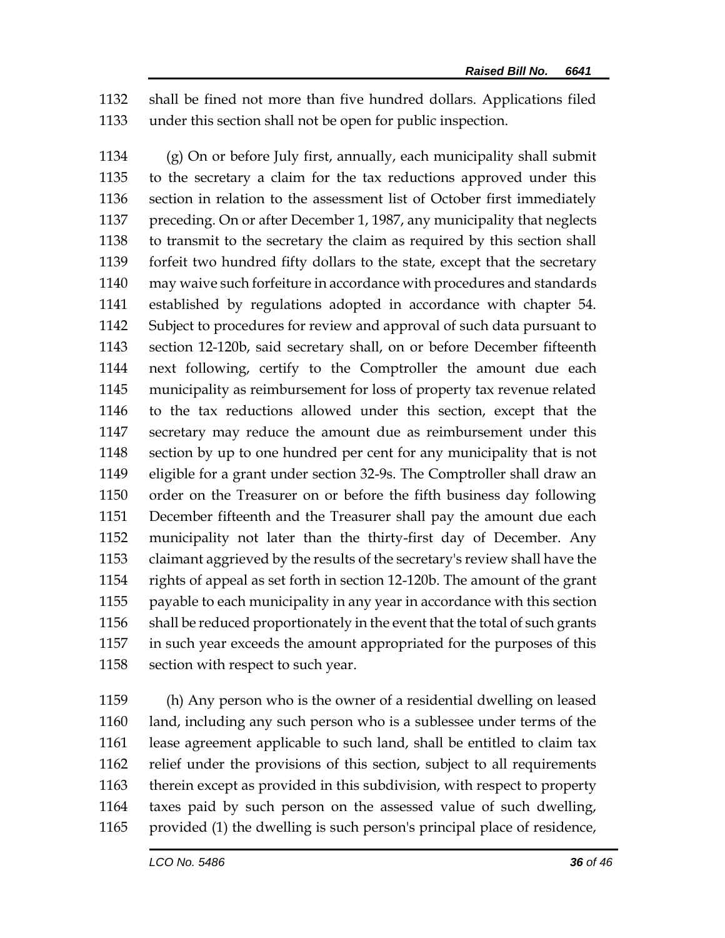shall be fined not more than five hundred dollars. Applications filed under this section shall not be open for public inspection.

 (g) On or before July first, annually, each municipality shall submit to the secretary a claim for the tax reductions approved under this section in relation to the assessment list of October first immediately preceding. On or after December 1, 1987, any municipality that neglects to transmit to the secretary the claim as required by this section shall forfeit two hundred fifty dollars to the state, except that the secretary may waive such forfeiture in accordance with procedures and standards established by regulations adopted in accordance with chapter 54. Subject to procedures for review and approval of such data pursuant to section 12-120b, said secretary shall, on or before December fifteenth next following, certify to the Comptroller the amount due each municipality as reimbursement for loss of property tax revenue related to the tax reductions allowed under this section, except that the secretary may reduce the amount due as reimbursement under this section by up to one hundred per cent for any municipality that is not eligible for a grant under section 32-9s. The Comptroller shall draw an order on the Treasurer on or before the fifth business day following December fifteenth and the Treasurer shall pay the amount due each municipality not later than the thirty-first day of December. Any claimant aggrieved by the results of the secretary's review shall have the rights of appeal as set forth in section 12-120b. The amount of the grant payable to each municipality in any year in accordance with this section shall be reduced proportionately in the event that the total of such grants in such year exceeds the amount appropriated for the purposes of this 1158 section with respect to such year.

 (h) Any person who is the owner of a residential dwelling on leased land, including any such person who is a sublessee under terms of the lease agreement applicable to such land, shall be entitled to claim tax relief under the provisions of this section, subject to all requirements therein except as provided in this subdivision, with respect to property taxes paid by such person on the assessed value of such dwelling, provided (1) the dwelling is such person's principal place of residence,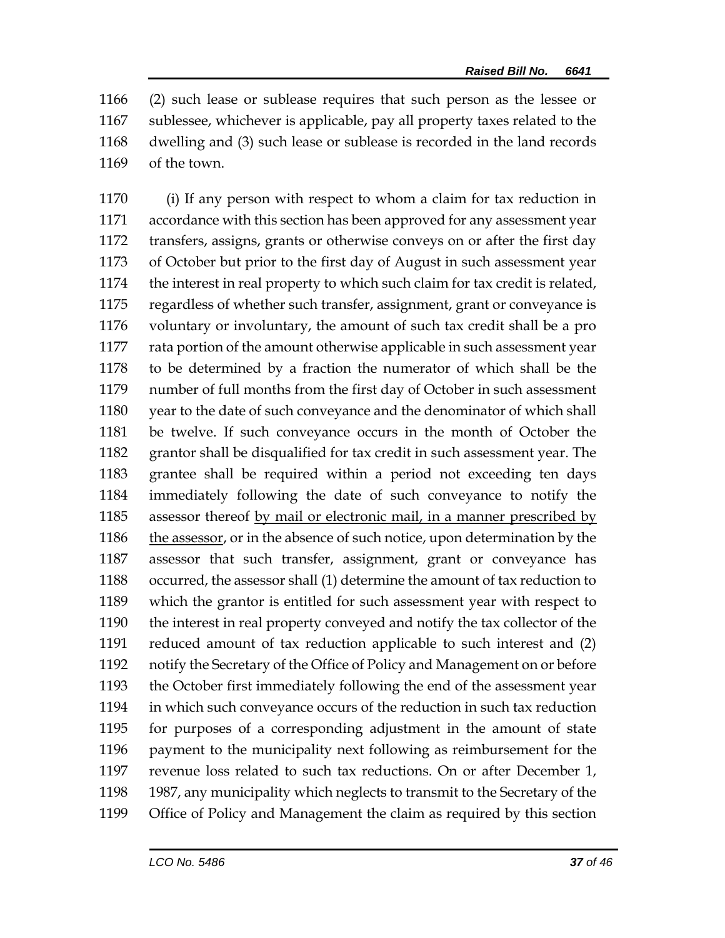(2) such lease or sublease requires that such person as the lessee or sublessee, whichever is applicable, pay all property taxes related to the dwelling and (3) such lease or sublease is recorded in the land records of the town.

 (i) If any person with respect to whom a claim for tax reduction in accordance with this section has been approved for any assessment year transfers, assigns, grants or otherwise conveys on or after the first day of October but prior to the first day of August in such assessment year the interest in real property to which such claim for tax credit is related, regardless of whether such transfer, assignment, grant or conveyance is voluntary or involuntary, the amount of such tax credit shall be a pro rata portion of the amount otherwise applicable in such assessment year to be determined by a fraction the numerator of which shall be the number of full months from the first day of October in such assessment year to the date of such conveyance and the denominator of which shall be twelve. If such conveyance occurs in the month of October the grantor shall be disqualified for tax credit in such assessment year. The grantee shall be required within a period not exceeding ten days immediately following the date of such conveyance to notify the assessor thereof by mail or electronic mail, in a manner prescribed by 1186 the assessor, or in the absence of such notice, upon determination by the assessor that such transfer, assignment, grant or conveyance has occurred, the assessor shall (1) determine the amount of tax reduction to which the grantor is entitled for such assessment year with respect to the interest in real property conveyed and notify the tax collector of the reduced amount of tax reduction applicable to such interest and (2) notify the Secretary of the Office of Policy and Management on or before the October first immediately following the end of the assessment year in which such conveyance occurs of the reduction in such tax reduction for purposes of a corresponding adjustment in the amount of state payment to the municipality next following as reimbursement for the revenue loss related to such tax reductions. On or after December 1, 1987, any municipality which neglects to transmit to the Secretary of the Office of Policy and Management the claim as required by this section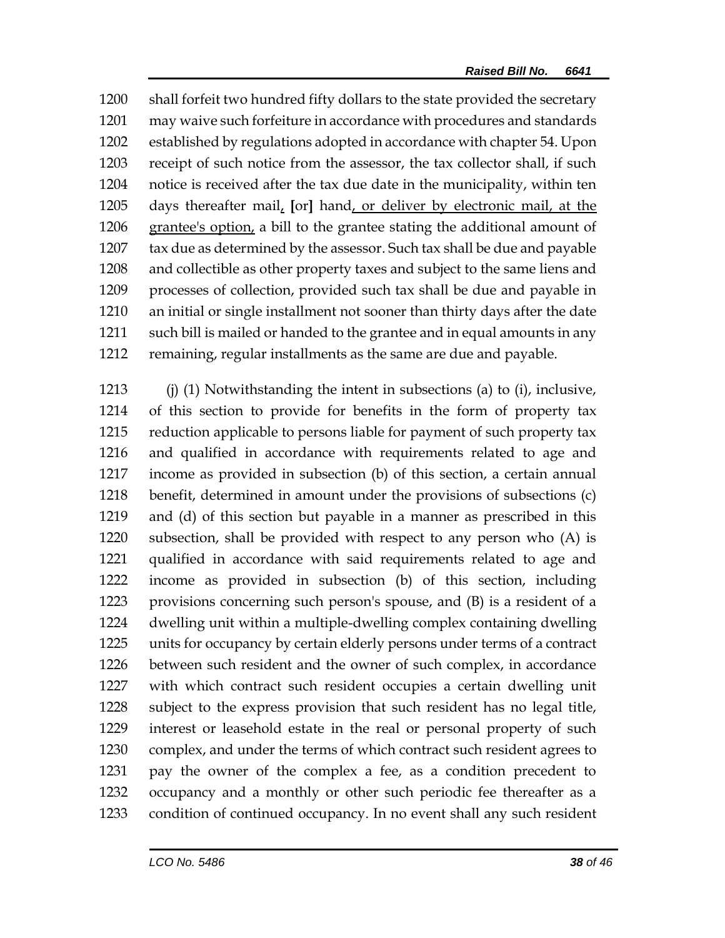shall forfeit two hundred fifty dollars to the state provided the secretary may waive such forfeiture in accordance with procedures and standards established by regulations adopted in accordance with chapter 54. Upon receipt of such notice from the assessor, the tax collector shall, if such notice is received after the tax due date in the municipality, within ten days thereafter mail, **[**or**]** hand, or deliver by electronic mail, at the grantee's option, a bill to the grantee stating the additional amount of tax due as determined by the assessor. Such tax shall be due and payable and collectible as other property taxes and subject to the same liens and processes of collection, provided such tax shall be due and payable in an initial or single installment not sooner than thirty days after the date such bill is mailed or handed to the grantee and in equal amounts in any remaining, regular installments as the same are due and payable.

 (j) (1) Notwithstanding the intent in subsections (a) to (i), inclusive, of this section to provide for benefits in the form of property tax reduction applicable to persons liable for payment of such property tax and qualified in accordance with requirements related to age and income as provided in subsection (b) of this section, a certain annual benefit, determined in amount under the provisions of subsections (c) and (d) of this section but payable in a manner as prescribed in this subsection, shall be provided with respect to any person who (A) is qualified in accordance with said requirements related to age and income as provided in subsection (b) of this section, including provisions concerning such person's spouse, and (B) is a resident of a dwelling unit within a multiple-dwelling complex containing dwelling units for occupancy by certain elderly persons under terms of a contract between such resident and the owner of such complex, in accordance with which contract such resident occupies a certain dwelling unit subject to the express provision that such resident has no legal title, interest or leasehold estate in the real or personal property of such complex, and under the terms of which contract such resident agrees to pay the owner of the complex a fee, as a condition precedent to occupancy and a monthly or other such periodic fee thereafter as a condition of continued occupancy. In no event shall any such resident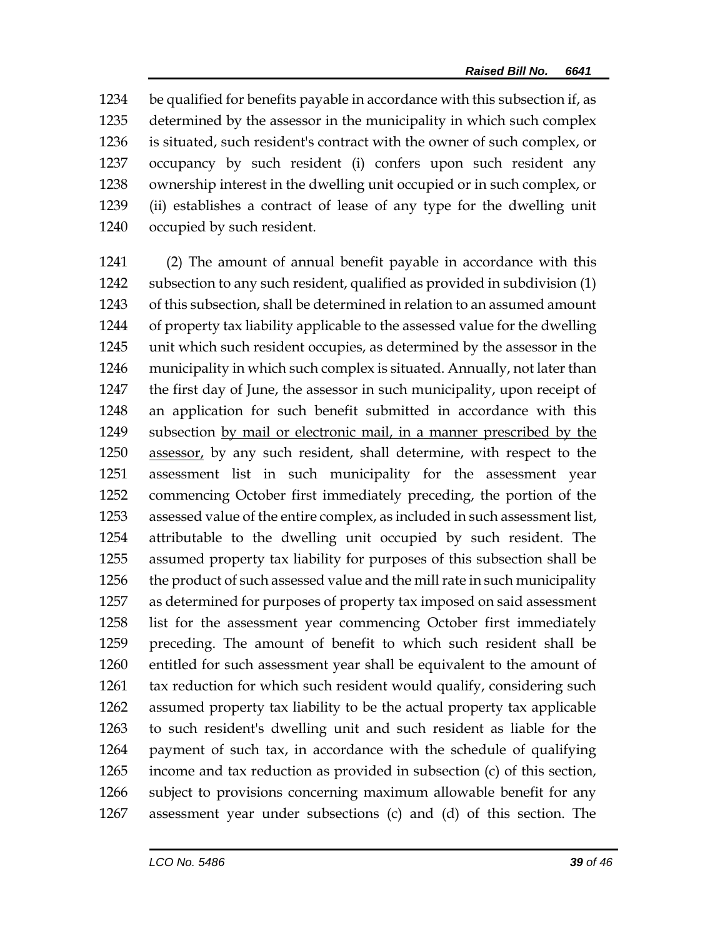be qualified for benefits payable in accordance with this subsection if, as determined by the assessor in the municipality in which such complex is situated, such resident's contract with the owner of such complex, or occupancy by such resident (i) confers upon such resident any ownership interest in the dwelling unit occupied or in such complex, or (ii) establishes a contract of lease of any type for the dwelling unit occupied by such resident.

 (2) The amount of annual benefit payable in accordance with this subsection to any such resident, qualified as provided in subdivision (1) of this subsection, shall be determined in relation to an assumed amount of property tax liability applicable to the assessed value for the dwelling unit which such resident occupies, as determined by the assessor in the municipality in which such complex is situated. Annually, not later than the first day of June, the assessor in such municipality, upon receipt of an application for such benefit submitted in accordance with this subsection by mail or electronic mail, in a manner prescribed by the assessor, by any such resident, shall determine, with respect to the assessment list in such municipality for the assessment year commencing October first immediately preceding, the portion of the assessed value of the entire complex, as included in such assessment list, attributable to the dwelling unit occupied by such resident. The assumed property tax liability for purposes of this subsection shall be the product of such assessed value and the mill rate in such municipality as determined for purposes of property tax imposed on said assessment list for the assessment year commencing October first immediately preceding. The amount of benefit to which such resident shall be entitled for such assessment year shall be equivalent to the amount of tax reduction for which such resident would qualify, considering such assumed property tax liability to be the actual property tax applicable to such resident's dwelling unit and such resident as liable for the payment of such tax, in accordance with the schedule of qualifying income and tax reduction as provided in subsection (c) of this section, subject to provisions concerning maximum allowable benefit for any assessment year under subsections (c) and (d) of this section. The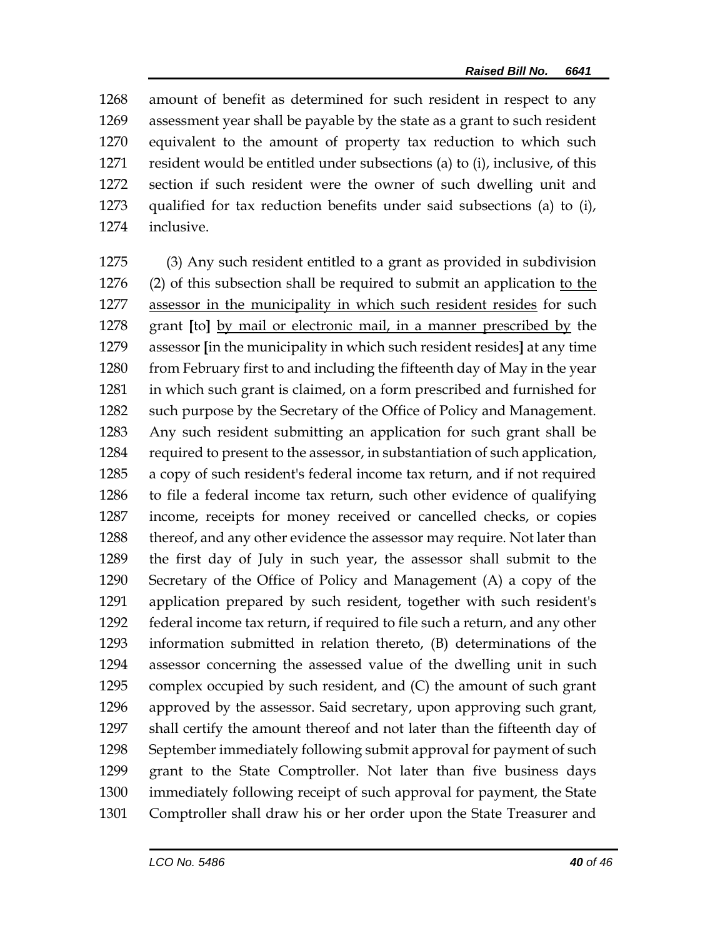amount of benefit as determined for such resident in respect to any assessment year shall be payable by the state as a grant to such resident equivalent to the amount of property tax reduction to which such resident would be entitled under subsections (a) to (i), inclusive, of this section if such resident were the owner of such dwelling unit and qualified for tax reduction benefits under said subsections (a) to (i), inclusive.

 (3) Any such resident entitled to a grant as provided in subdivision (2) of this subsection shall be required to submit an application to the assessor in the municipality in which such resident resides for such grant **[**to**]** by mail or electronic mail, in a manner prescribed by the assessor **[**in the municipality in which such resident resides**]** at any time 1280 from February first to and including the fifteenth day of May in the year in which such grant is claimed, on a form prescribed and furnished for such purpose by the Secretary of the Office of Policy and Management. Any such resident submitting an application for such grant shall be required to present to the assessor, in substantiation of such application, a copy of such resident's federal income tax return, and if not required to file a federal income tax return, such other evidence of qualifying income, receipts for money received or cancelled checks, or copies 1288 thereof, and any other evidence the assessor may require. Not later than the first day of July in such year, the assessor shall submit to the Secretary of the Office of Policy and Management (A) a copy of the application prepared by such resident, together with such resident's federal income tax return, if required to file such a return, and any other information submitted in relation thereto, (B) determinations of the assessor concerning the assessed value of the dwelling unit in such complex occupied by such resident, and (C) the amount of such grant approved by the assessor. Said secretary, upon approving such grant, shall certify the amount thereof and not later than the fifteenth day of September immediately following submit approval for payment of such grant to the State Comptroller. Not later than five business days immediately following receipt of such approval for payment, the State Comptroller shall draw his or her order upon the State Treasurer and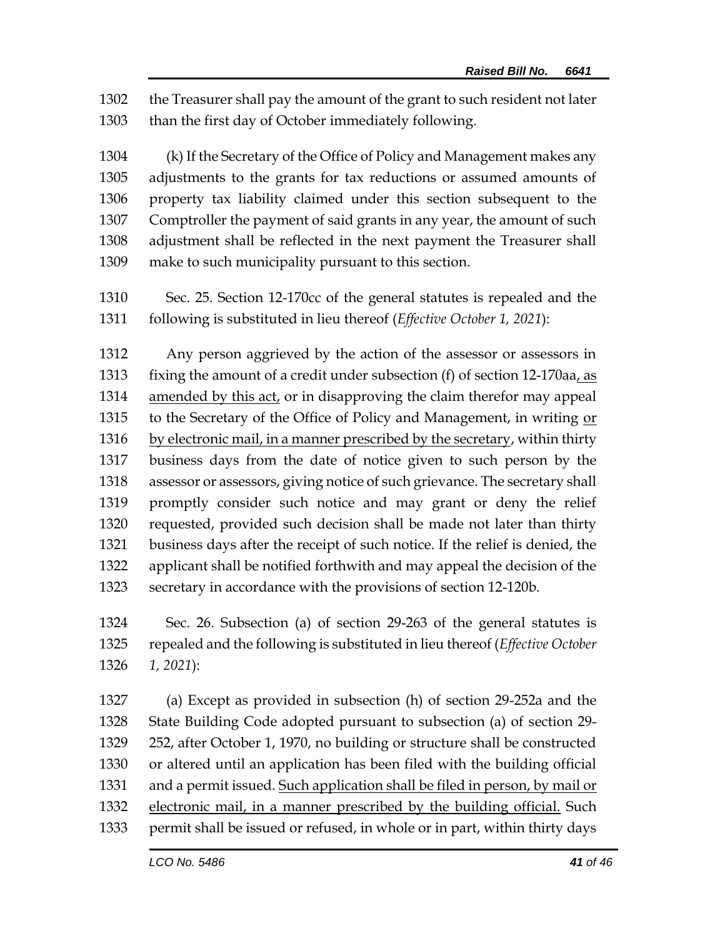the Treasurer shall pay the amount of the grant to such resident not later than the first day of October immediately following.

 (k) If the Secretary of the Office of Policy and Management makes any adjustments to the grants for tax reductions or assumed amounts of property tax liability claimed under this section subsequent to the Comptroller the payment of said grants in any year, the amount of such adjustment shall be reflected in the next payment the Treasurer shall make to such municipality pursuant to this section.

 Sec. 25. Section 12-170cc of the general statutes is repealed and the following is substituted in lieu thereof (*Effective October 1, 2021*):

 Any person aggrieved by the action of the assessor or assessors in 1313 fixing the amount of a credit under subsection (f) of section 12-170aa, as amended by this act, or in disapproving the claim therefor may appeal to the Secretary of the Office of Policy and Management, in writing or 1316 by electronic mail, in a manner prescribed by the secretary, within thirty business days from the date of notice given to such person by the assessor or assessors, giving notice of such grievance. The secretary shall promptly consider such notice and may grant or deny the relief requested, provided such decision shall be made not later than thirty business days after the receipt of such notice. If the relief is denied, the applicant shall be notified forthwith and may appeal the decision of the secretary in accordance with the provisions of section 12-120b.

 Sec. 26. Subsection (a) of section 29-263 of the general statutes is repealed and the following is substituted in lieu thereof (*Effective October 1, 2021*):

 (a) Except as provided in subsection (h) of section 29-252a and the State Building Code adopted pursuant to subsection (a) of section 29- 252, after October 1, 1970, no building or structure shall be constructed or altered until an application has been filed with the building official 1331 and a permit issued. Such application shall be filed in person, by mail or electronic mail, in a manner prescribed by the building official. Such permit shall be issued or refused, in whole or in part, within thirty days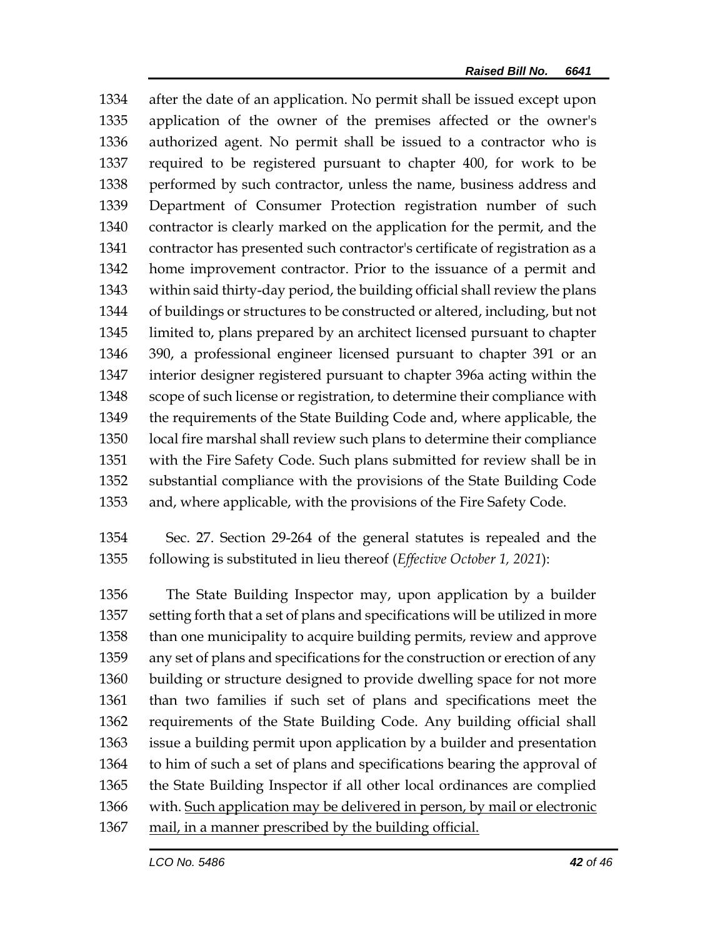after the date of an application. No permit shall be issued except upon application of the owner of the premises affected or the owner's authorized agent. No permit shall be issued to a contractor who is required to be registered pursuant to chapter 400, for work to be performed by such contractor, unless the name, business address and Department of Consumer Protection registration number of such contractor is clearly marked on the application for the permit, and the contractor has presented such contractor's certificate of registration as a home improvement contractor. Prior to the issuance of a permit and within said thirty-day period, the building official shall review the plans of buildings or structures to be constructed or altered, including, but not limited to, plans prepared by an architect licensed pursuant to chapter 390, a professional engineer licensed pursuant to chapter 391 or an interior designer registered pursuant to chapter 396a acting within the scope of such license or registration, to determine their compliance with the requirements of the State Building Code and, where applicable, the local fire marshal shall review such plans to determine their compliance with the Fire Safety Code. Such plans submitted for review shall be in substantial compliance with the provisions of the State Building Code and, where applicable, with the provisions of the Fire Safety Code.

 Sec. 27. Section 29-264 of the general statutes is repealed and the following is substituted in lieu thereof (*Effective October 1, 2021*):

 The State Building Inspector may, upon application by a builder setting forth that a set of plans and specifications will be utilized in more than one municipality to acquire building permits, review and approve any set of plans and specifications for the construction or erection of any building or structure designed to provide dwelling space for not more than two families if such set of plans and specifications meet the requirements of the State Building Code. Any building official shall issue a building permit upon application by a builder and presentation to him of such a set of plans and specifications bearing the approval of the State Building Inspector if all other local ordinances are complied with. Such application may be delivered in person, by mail or electronic 1367 mail, in a manner prescribed by the building official.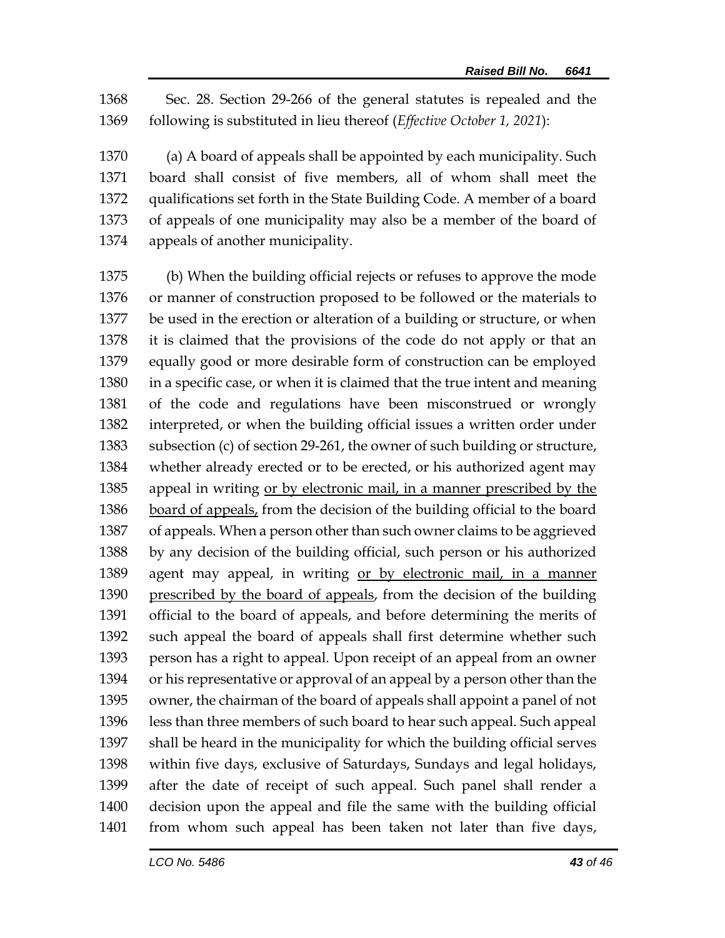Sec. 28. Section 29-266 of the general statutes is repealed and the following is substituted in lieu thereof (*Effective October 1, 2021*):

 (a) A board of appeals shall be appointed by each municipality. Such board shall consist of five members, all of whom shall meet the qualifications set forth in the State Building Code. A member of a board of appeals of one municipality may also be a member of the board of appeals of another municipality.

 (b) When the building official rejects or refuses to approve the mode or manner of construction proposed to be followed or the materials to be used in the erection or alteration of a building or structure, or when it is claimed that the provisions of the code do not apply or that an equally good or more desirable form of construction can be employed in a specific case, or when it is claimed that the true intent and meaning of the code and regulations have been misconstrued or wrongly interpreted, or when the building official issues a written order under subsection (c) of section 29-261, the owner of such building or structure, whether already erected or to be erected, or his authorized agent may appeal in writing or by electronic mail, in a manner prescribed by the board of appeals, from the decision of the building official to the board of appeals. When a person other than such owner claims to be aggrieved by any decision of the building official, such person or his authorized agent may appeal, in writing or by electronic mail, in a manner prescribed by the board of appeals, from the decision of the building official to the board of appeals, and before determining the merits of such appeal the board of appeals shall first determine whether such person has a right to appeal. Upon receipt of an appeal from an owner or his representative or approval of an appeal by a person other than the owner, the chairman of the board of appeals shall appoint a panel of not less than three members of such board to hear such appeal. Such appeal shall be heard in the municipality for which the building official serves within five days, exclusive of Saturdays, Sundays and legal holidays, after the date of receipt of such appeal. Such panel shall render a decision upon the appeal and file the same with the building official from whom such appeal has been taken not later than five days,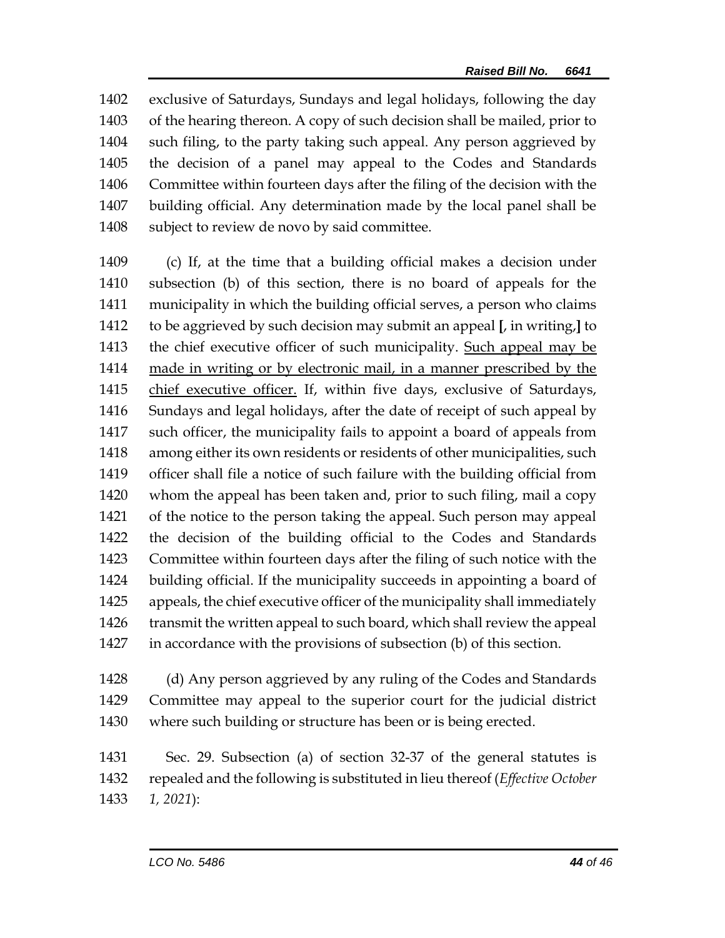exclusive of Saturdays, Sundays and legal holidays, following the day of the hearing thereon. A copy of such decision shall be mailed, prior to such filing, to the party taking such appeal. Any person aggrieved by the decision of a panel may appeal to the Codes and Standards Committee within fourteen days after the filing of the decision with the building official. Any determination made by the local panel shall be subject to review de novo by said committee.

 (c) If, at the time that a building official makes a decision under subsection (b) of this section, there is no board of appeals for the municipality in which the building official serves, a person who claims to be aggrieved by such decision may submit an appeal **[**, in writing,**]** to the chief executive officer of such municipality. Such appeal may be made in writing or by electronic mail, in a manner prescribed by the chief executive officer. If, within five days, exclusive of Saturdays, Sundays and legal holidays, after the date of receipt of such appeal by such officer, the municipality fails to appoint a board of appeals from among either its own residents or residents of other municipalities, such officer shall file a notice of such failure with the building official from whom the appeal has been taken and, prior to such filing, mail a copy of the notice to the person taking the appeal. Such person may appeal the decision of the building official to the Codes and Standards Committee within fourteen days after the filing of such notice with the building official. If the municipality succeeds in appointing a board of appeals, the chief executive officer of the municipality shall immediately 1426 transmit the written appeal to such board, which shall review the appeal in accordance with the provisions of subsection (b) of this section.

 (d) Any person aggrieved by any ruling of the Codes and Standards Committee may appeal to the superior court for the judicial district where such building or structure has been or is being erected.

 Sec. 29. Subsection (a) of section 32-37 of the general statutes is repealed and the following is substituted in lieu thereof (*Effective October 1, 2021*):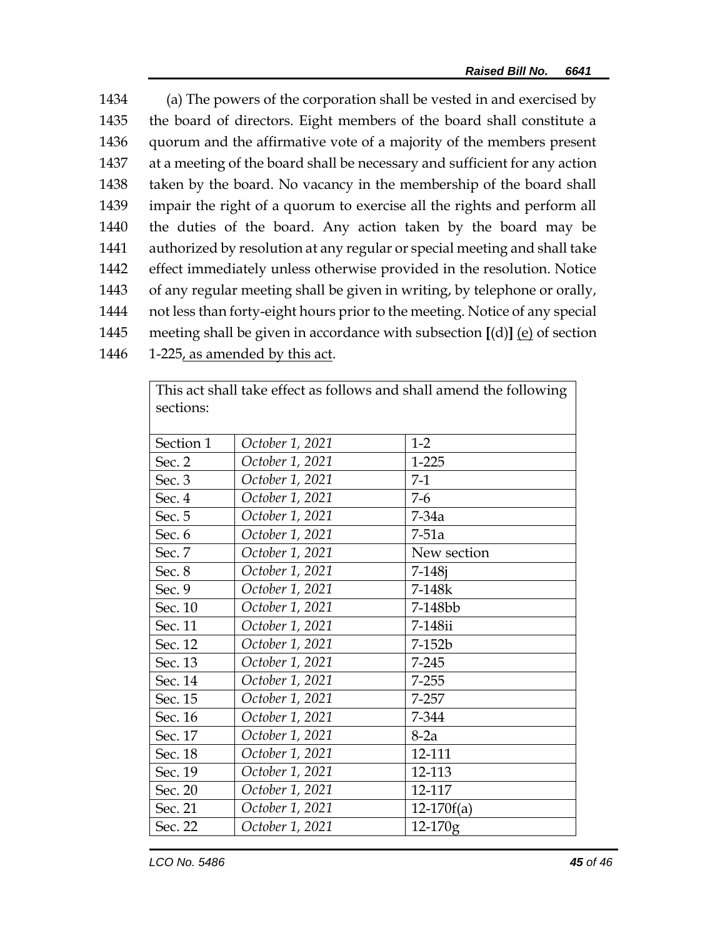(a) The powers of the corporation shall be vested in and exercised by the board of directors. Eight members of the board shall constitute a quorum and the affirmative vote of a majority of the members present at a meeting of the board shall be necessary and sufficient for any action taken by the board. No vacancy in the membership of the board shall impair the right of a quorum to exercise all the rights and perform all the duties of the board. Any action taken by the board may be authorized by resolution at any regular or special meeting and shall take effect immediately unless otherwise provided in the resolution. Notice of any regular meeting shall be given in writing, by telephone or orally, not less than forty-eight hours prior to the meeting. Notice of any special meeting shall be given in accordance with subsection **[**(d)**]** (e) of section 1-225, as amended by this act.

| sections: |                 |              |
|-----------|-----------------|--------------|
| Section 1 | October 1, 2021 | $1-2$        |
| Sec. 2    | October 1, 2021 | $1 - 225$    |
| Sec. 3    | October 1, 2021 | $7-1$        |
| Sec. 4    | October 1, 2021 | $7-6$        |
| Sec. 5    | October 1, 2021 | $7-34a$      |
| Sec. 6    | October 1, 2021 | $7-51a$      |
| Sec. 7    | October 1, 2021 | New section  |
| Sec. 8    | October 1, 2021 | $7 - 148i$   |
| Sec. 9    | October 1, 2021 | 7-148k       |
| Sec. 10   | October 1, 2021 | 7-148bb      |
| Sec. 11   | October 1, 2021 | 7-148ii      |
| Sec. 12   | October 1, 2021 | 7-152b       |
| Sec. 13   | October 1, 2021 | $7 - 245$    |
| Sec. 14   | October 1, 2021 | $7 - 255$    |
| Sec. 15   | October 1, 2021 | $7 - 257$    |
| Sec. 16   | October 1, 2021 | 7-344        |
| Sec. 17   | October 1, 2021 | $8-2a$       |
| Sec. 18   | October 1, 2021 | 12-111       |
| Sec. 19   | October 1, 2021 | 12-113       |
| Sec. 20   | October 1, 2021 | 12-117       |
| Sec. 21   | October 1, 2021 | $12-170f(a)$ |
| Sec. 22   | October 1, 2021 | $12 - 170g$  |

This act shall take effect as follows and shall amend the following |